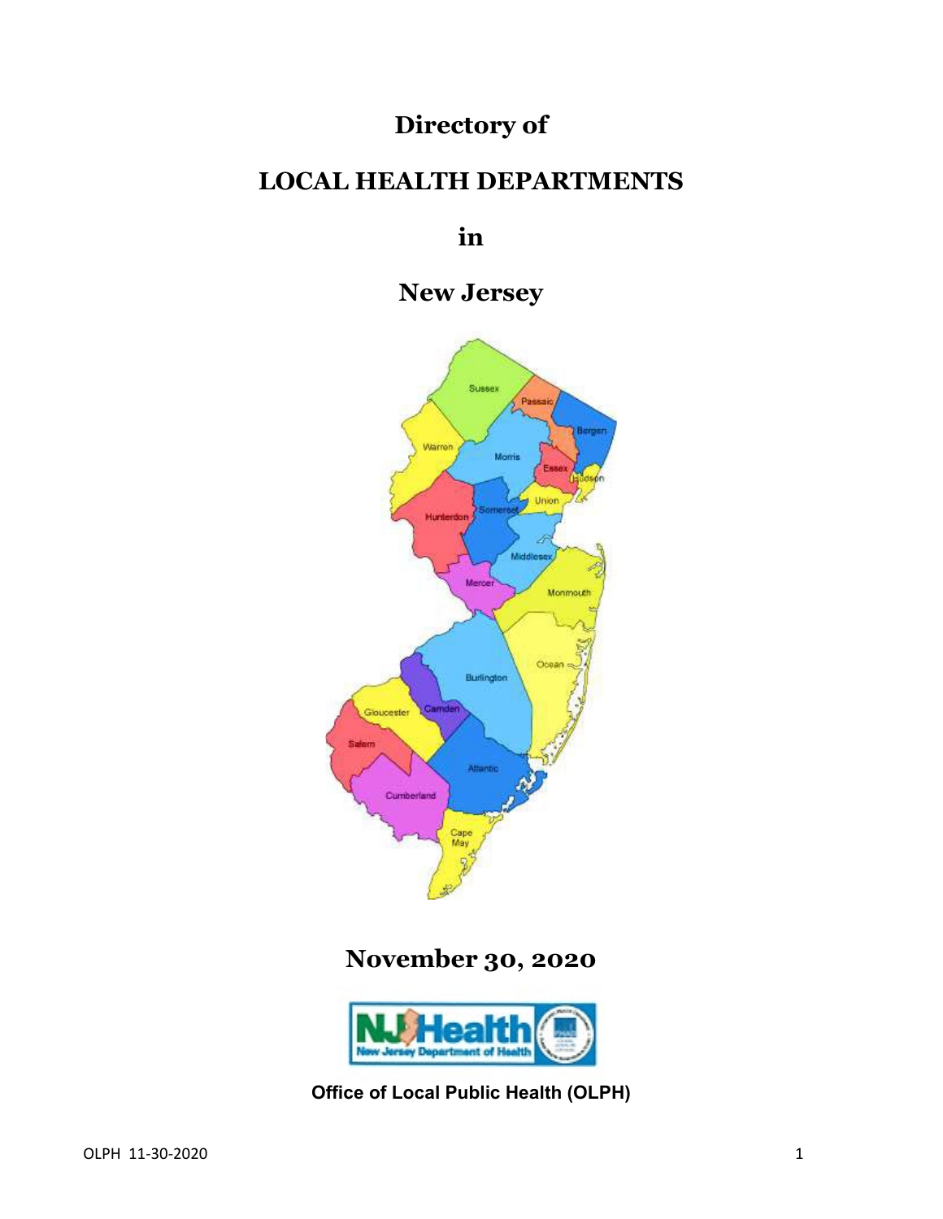# **Directory of**

# **LOCAL HEALTH DEPARTMENTS**

**in**

**New Jersey**



# **November 30, 2020**



**Office of Local Public Health (OLPH)**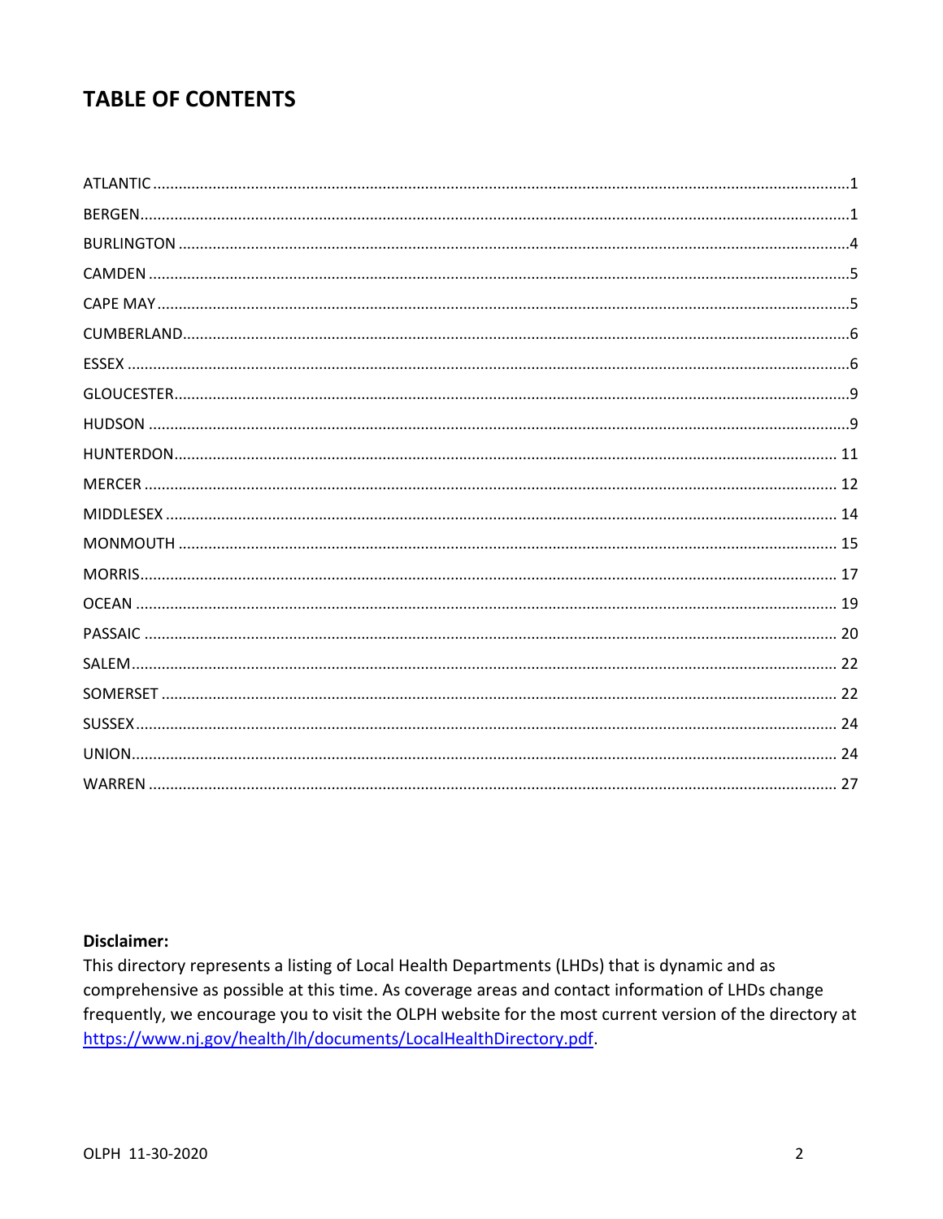# **TABLE OF CONTENTS**

### **Disclaimer:**

This directory represents a listing of Local Health Departments (LHDs) that is dynamic and as comprehensive as possible at this time. As coverage areas and contact information of LHDs change frequently, we encourage you to visit the OLPH website for the most current version of the directory at https://www.nj.gov/health/lh/documents/LocalHealthDirectory.pdf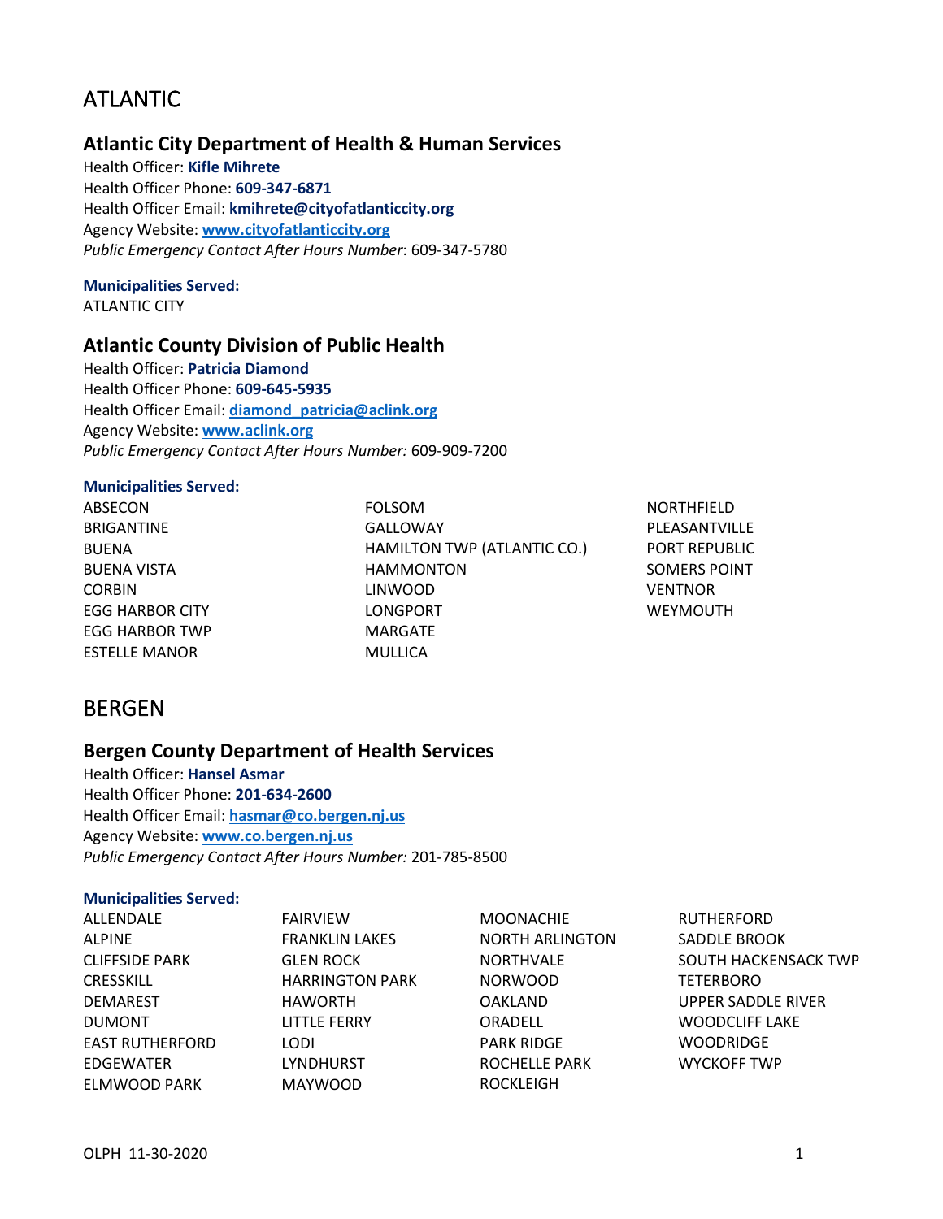# <span id="page-2-0"></span>ATLANTIC

## **Atlantic City Department of Health & Human Services**

Health Officer: **Kifle Mihrete** Health Officer Phone: **609-347-6871** Health Officer Email: **kmihrete@cityofatlanticcity.org** Agency Website: **[www.cityofatlanticcity.org](http://www.cityofatlanticcity.org/)** *Public Emergency Contact After Hours Number*: 609-347-5780

#### **Municipalities Served:** ATLANTIC CITY

## **Atlantic County Division of Public Health**

Health Officer: **Patricia Diamond** Health Officer Phone: **609-645-5935** Health Officer Email: **[diamond\\_patricia@aclink.org](mailto:diamond_patricia@aclink.org)** Agency Website: **[www.aclink.org](http://www.aclink.org/)** *Public Emergency Contact After Hours Number:* 609-909-7200

### **Municipalities Served:**

ABSECON BRIGANTINE BUENA BUENA VISTA CORBIN EGG HARBOR CITY EGG HARBOR TWP ESTELLE MANOR

FOLSOM GALLOWAY HAMILTON TWP (ATLANTIC CO.) HAMMONTON LINWOOD LONGPORT MARGATE MULLICA

NORTHFIELD PLEASANTVILLE PORT REPUBLIC SOMERS POINT VENTNOR WEYMOUTH

## <span id="page-2-1"></span>BERGEN

### **Bergen County Department of Health Services**

Health Officer: **Hansel Asmar** Health Officer Phone: **201-634-2600** Health Officer Email: **[hasmar@co.bergen.nj.us](mailto:hasmar@co.bergen.nj.us)** Agency Website: **[www.co.bergen.nj.us](http://www.co.bergen.nj.us/)** *Public Emergency Contact After Hours Number:* 201-785-8500

#### **Municipalities Served:**

| ALLENDALE              | <b>FAIRVIEW</b>        | <b>MOONACHIE</b>       | <b>RUTHERFORD</b>     |
|------------------------|------------------------|------------------------|-----------------------|
| <b>ALPINE</b>          | <b>FRANKLIN LAKES</b>  | <b>NORTH ARLINGTON</b> | SADDLE BROOK          |
| <b>CLIFFSIDE PARK</b>  | <b>GLEN ROCK</b>       | <b>NORTHVALE</b>       | SOUTH HACKENSACK TWP  |
| <b>CRESSKILL</b>       | <b>HARRINGTON PARK</b> | <b>NORWOOD</b>         | <b>TETERBORO</b>      |
| <b>DEMAREST</b>        | <b>HAWORTH</b>         | <b>OAKLAND</b>         | UPPER SADDLE RIVER    |
| <b>DUMONT</b>          | LITTLE FERRY           | <b>ORADELL</b>         | <b>WOODCLIFF LAKE</b> |
| <b>EAST RUTHERFORD</b> | LODI                   | <b>PARK RIDGE</b>      | <b>WOODRIDGE</b>      |
| EDGEWATER              | <b>LYNDHURST</b>       | <b>ROCHELLE PARK</b>   | <b>WYCKOFF TWP</b>    |
| ELMWOOD PARK           | <b>MAYWOOD</b>         | <b>ROCKLEIGH</b>       |                       |
|                        |                        |                        |                       |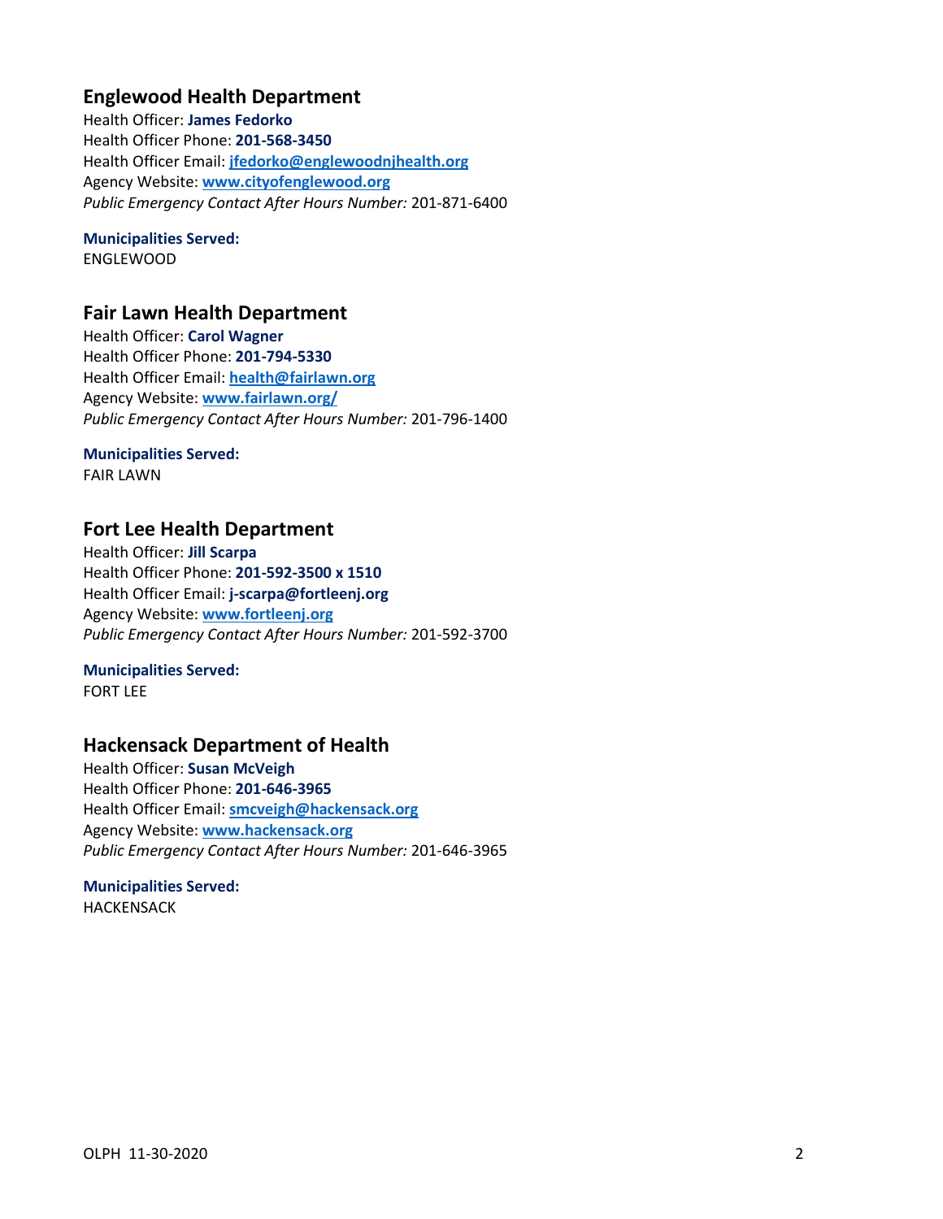## **Englewood Health Department**

Health Officer: **James Fedorko** Health Officer Phone: **201-568-3450** Health Officer Email: **[jfedorko@englewoodnjhealth.org](mailto:jfedorko@englewoodnjhealth.org)** Agency Website: **[www.cityofenglewood.org](http://www.cityofenglewood.org/)** *Public Emergency Contact After Hours Number:* 201-871-6400

## **Municipalities Served:**

ENGLEWOOD

### **Fair Lawn Health Department**

Health Officer: **Carol Wagner** Health Officer Phone: **201-794-5330** Health Officer Email: **[health@fairlawn.org](mailto:health@fairlawn.org)** Agency Website: **[www.fairlawn.org/](http://www.fairlawn.org/)** *Public Emergency Contact After Hours Number:* 201-796-1400

### **Municipalities Served:**

FAIR LAWN

## **Fort Lee Health Department**

Health Officer: **Jill Scarpa** Health Officer Phone: **201-592-3500 x 1510** Health Officer Email: **j-scarpa@fortleenj.org** Agency Website: **[www.fortleenj.org](http://www.fortleenj.org/)** *Public Emergency Contact After Hours Number:* 201-592-3700

### **Municipalities Served:**

FORT LEE

## **Hackensack Department of Health**

Health Officer: **Susan McVeigh** Health Officer Phone: **201-646-3965** Health Officer Email: **[smcveigh@hackensack.org](mailto:smcveigh@hackensack.org)** Agency Website: **[www.hackensack.org](http://www.hackensack.org/)** *Public Emergency Contact After Hours Number:* 201-646-3965

### **Municipalities Served:** HACKENSACK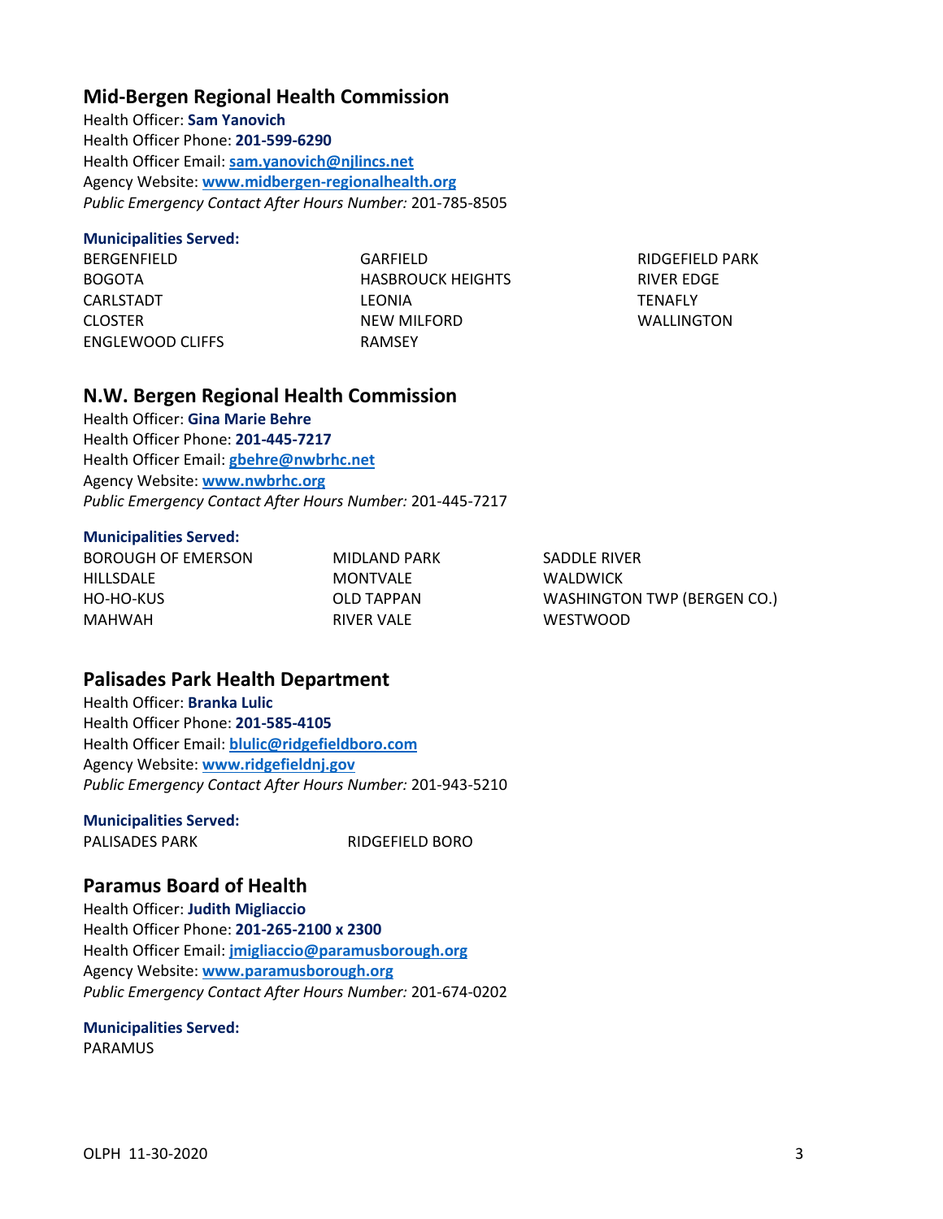### **Mid-Bergen Regional Health Commission**

Health Officer: **Sam Yanovich** Health Officer Phone: **201-599-6290** Health Officer Email: **[sam.yanovich@njlincs.net](mailto:sam.yanovich@njlincs.net)** Agency Website: **[www.midbergen-regionalhealth.org](http://www.midbergen-regionalhealth.org/)** *Public Emergency Contact After Hours Number:* 201-785-8505

### **Municipalities Served:**

BERGENFIELD BOGOTA CARLSTADT CLOSTER ENGLEWOOD CLIFFS GARFIELD HASBROUCK HEIGHTS LEONIA NEW MILFORD RAMSEY

RIDGEFIELD PARK RIVER EDGE **TENAFLY** WALLINGTON

### **N.W. Bergen Regional Health Commission**

Health Officer: **Gina Marie Behre** Health Officer Phone: **201-445-7217** Health Officer Email: **[gbehre@nwbrhc.net](mailto:gbehre@nwbrhc.net)** Agency Website: **[www.nwbrhc.org](http://www.nwbrhc.org/)** *Public Emergency Contact After Hours Number:* 201-445-7217

#### **Municipalities Served:**

| MIDLAND PARK | SADDLE RIVER                       |
|--------------|------------------------------------|
| MONTVALE     | <b>WALDWICK</b>                    |
| OLD TAPPAN   | <b>WASHINGTON TWP (BERGEN CO.)</b> |
| RIVER VALE   | <b>WESTWOOD</b>                    |
|              |                                    |

## **Palisades Park Health Department**

Health Officer: **Branka Lulic** Health Officer Phone: **201-585-4105** Health Officer Email: **[blulic@ridgefieldboro.com](mailto:blulic@ridgefieldboro.com)** Agency Website: **[www.ridgefieldnj.gov](http://www.ridgefieldnj.gov/)** *Public Emergency Contact After Hours Number:* 201-943-5210

### **Municipalities Served:**

PALISADES PARK RIDGEFIELD BORO

### **Paramus Board of Health**

Health Officer: **Judith Migliaccio** Health Officer Phone: **201-265-2100 x 2300** Health Officer Email: **[jmigliaccio@paramusborough.org](mailto:jmigliaccio@paramusborough.org)** Agency Website: **[www.paramusborough.org](http://www.paramusborough.org/)** *Public Emergency Contact After Hours Number:* 201-674-0202

### **Municipalities Served:**

PARAMUS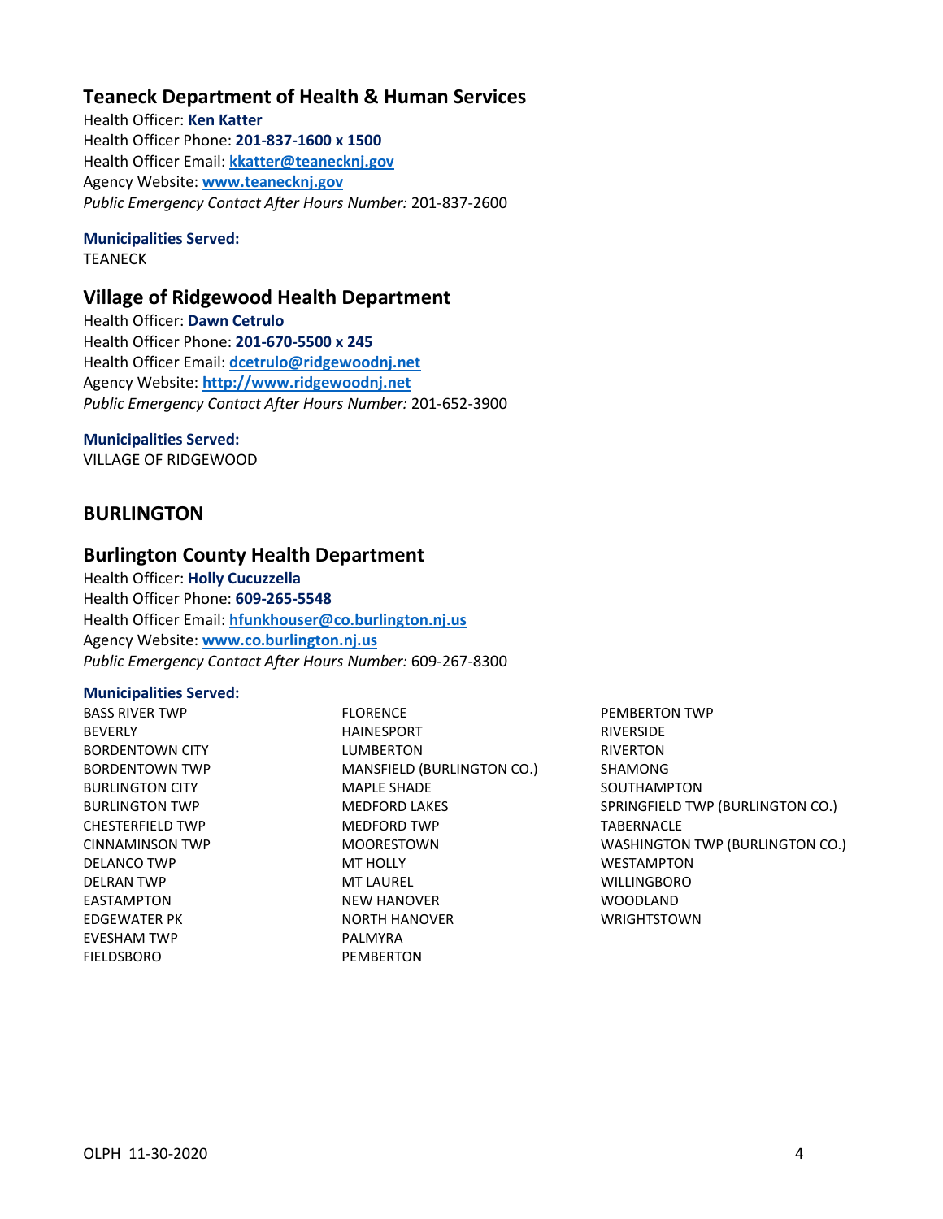## **Teaneck Department of Health & Human Services**

Health Officer: **Ken Katter** Health Officer Phone: **201-837-1600 x 1500** Health Officer Email: **[kkatter@teanecknj.gov](mailto:kkatter@teanecknj.gov)** Agency Website: **[www.teanecknj.gov](http://www.teanecknj.gov/)** *Public Emergency Contact After Hours Number:* 201-837-2600

### **Municipalities Served:**

TEANECK

## **Village of Ridgewood Health Department**

Health Officer: **Dawn Cetrulo** Health Officer Phone: **201-670-5500 x 245** Health Officer Email: **[dcetrulo@ridgewoodnj.net](mailto:dcetrulo@ridgewoodnj.net)** Agency Website: **[http://www.ridgewoodnj.net](http://www.ridgewoodnj.net/)** *Public Emergency Contact After Hours Number:* 201-652-3900

### **Municipalities Served:**

VILLAGE OF RIDGEWOOD

## <span id="page-5-0"></span>**BURLINGTON**

### **Burlington County Health Department**

Health Officer: **Holly Cucuzzella** Health Officer Phone: **609-265-5548** Health Officer Email: **[hfunkhouser@co.burlington.nj.us](mailto:hfunkhouser@co.burlington.nj.us)** Agency Website: **[www.co.burlington.nj.us](http://www.co.burlington.nj.us/)** *Public Emergency Contact After Hours Number:* 609-267-8300

### **Municipalities Served:**

BASS RIVER TWP BEVERLY BORDENTOWN CITY BORDENTOWN TWP BURLINGTON CITY BURLINGTON TWP CHESTERFIELD TWP CINNAMINSON TWP DELANCO TWP DELRAN TWP EASTAMPTON EDGEWATER PK EVESHAM TWP FIELDSBORO

FLORENCE HAINESPORT LUMBERTON MANSFIELD (BURLINGTON CO.) MAPLE SHADE MEDFORD LAKES MEDFORD TWP MOORESTOWN MT HOLLY MT LAUREL NEW HANOVER NORTH HANOVER PALMYRA **PEMBERTON** 

PEMBERTON TWP RIVERSIDE RIVERTON SHAMONG SOUTHAMPTON SPRINGFIELD TWP (BURLINGTON CO.) TABERNACLE WASHINGTON TWP (BURLINGTON CO.) WESTAMPTON WILLINGBORO WOODLAND WRIGHTSTOWN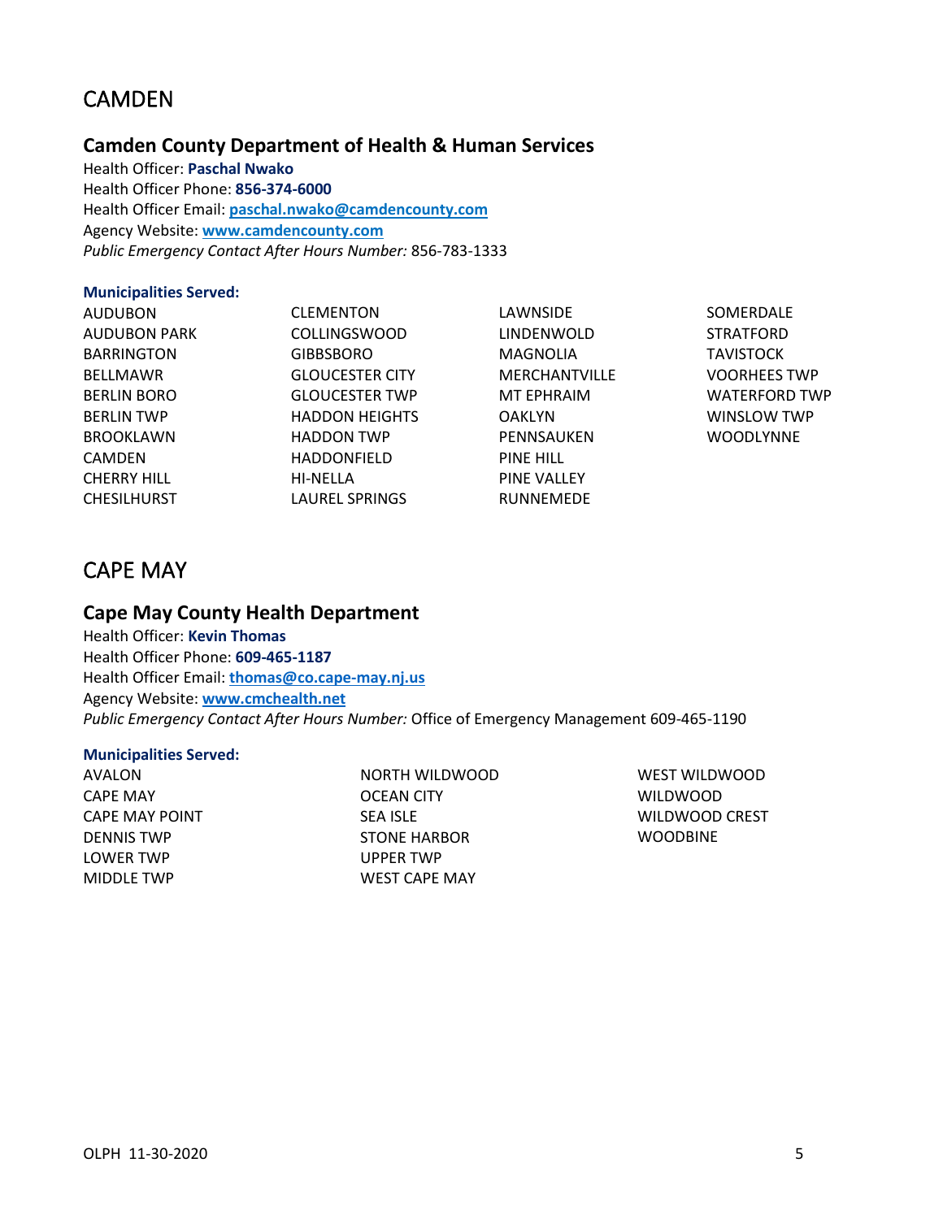# <span id="page-6-0"></span>CAMDEN

## **Camden County Department of Health & Human Services**

Health Officer: **Paschal Nwako** Health Officer Phone: **856-374-6000** Health Officer Email: **[paschal.nwako@camdencounty.com](mailto:paschal.nwako@camdencounty.com)** Agency Website: **[www.camdencounty.com](http://www.camdencounty.com/)** *Public Emergency Contact After Hours Number:* 856-783-1333

### **Municipalities Served:**

AUDUBON AUDUBON PARK BARRINGTON BELLMAWR BERLIN BORO BERLIN TWP BROOKLAWN CAMDEN CHERRY HILL CHESILHURST

CLEMENTON COLLINGSWOOD GIBBSBORO GLOUCESTER CITY GLOUCESTER TWP HADDON HEIGHTS HADDON TWP HADDONFIELD HI-NELLA LAUREL SPRINGS

LAWNSIDE LINDENWOLD MAGNOLIA MERCHANTVILLE MT EPHRAIM OAKLYN PENNSAUKEN PINE HILL PINE VALLEY RUNNEMEDE

SOMERDALE **STRATFORD TAVISTOCK** VOORHEES TWP WATERFORD TWP WINSLOW TWP **WOODLYNNE** 

# <span id="page-6-1"></span>CAPE MAY

## **Cape May County Health Department**

Health Officer: **Kevin Thomas** Health Officer Phone: **609-465-1187** Health Officer Email: **[thomas@co.cape-may.nj.us](mailto:thomas@co.cape-may.nj.us)** Agency Website: **[www.cmchealth.net](http://www.cmchealth.net/)** *Public Emergency Contact After Hours Number:* Office of Emergency Management 609-465-1190

### **Municipalities Served:**

AVALON CAPE MAY CAPE MAY POINT DENNIS TWP LOWER TWP MIDDLE TWP

NORTH WILDWOOD OCEAN CITY SEA ISLE STONE HARBOR UPPER TWP WEST CAPE MAY

WEST WILDWOOD WILDWOOD WILDWOOD CREST WOODBINE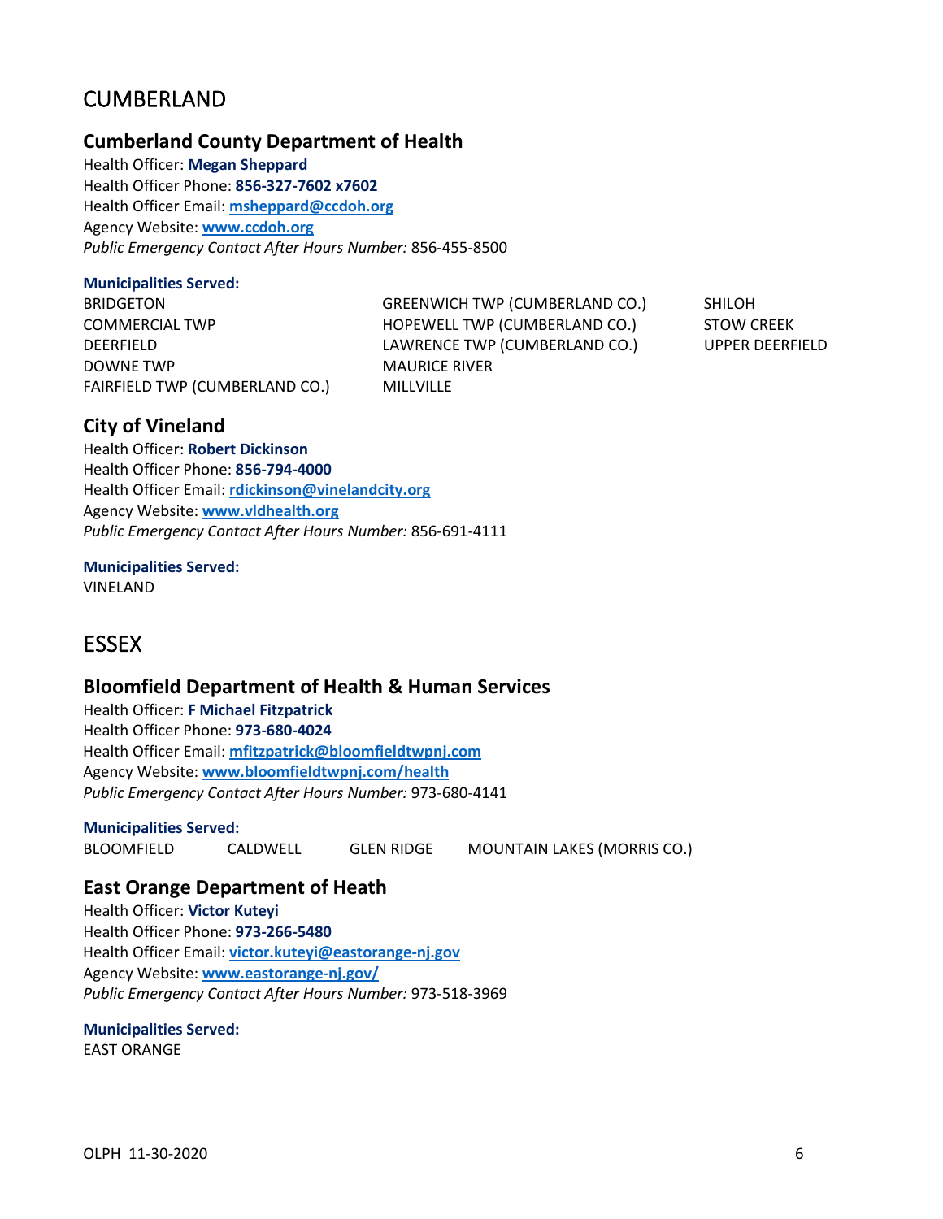# <span id="page-7-0"></span>CUMBERLAND

### **Cumberland County Department of Health**

Health Officer: **Megan Sheppard** Health Officer Phone: **856-327-7602 x7602** Health Officer Email: **[msheppard@ccdoh.org](mailto:msheppard@ccdoh.org)** Agency Website: **[www.ccdoh.org](http://www.ccdoh.org/)** *Public Emergency Contact After Hours Number:* 856-455-8500

### **Municipalities Served:**

BRIDGETON COMMERCIAL TWP DEERFIELD DOWNE TWP FAIRFIELD TWP (CUMBERLAND CO.) GREENWICH TWP (CUMBERLAND CO.) HOPEWELL TWP (CUMBERLAND CO.) LAWRENCE TWP (CUMBERLAND CO.) MAURICE RIVER MILLVILLE

SHILOH STOW CREEK UPPER DEERFIELD

## **City of Vineland**

Health Officer: **Robert Dickinson** Health Officer Phone: **856-794-4000** Health Officer Email: **[rdickinson@vinelandcity.org](mailto:rdickinson@vinelandcity.org)** Agency Website: **[www.vldhealth.org](http://www.vldhealth.org/)** *Public Emergency Contact After Hours Number:* 856-691-4111

**Municipalities Served:** VINELAND

# <span id="page-7-1"></span>**ESSEX**

## **Bloomfield Department of Health & Human Services**

Health Officer: **F Michael Fitzpatrick** Health Officer Phone: **973-680-4024** Health Officer Email: **[mfitzpatrick@bloomfieldtwpnj.com](mailto:mfitzpatrick@bloomfieldtwpnj.com)** Agency Website: **[www.bloomfieldtwpnj.com/health](http://www.bloomfieldtwpnj.com/health)** *Public Emergency Contact After Hours Number:* 973-680-4141

### **Municipalities Served:**

BLOOMFIELD CALDWELL GLEN RIDGE MOUNTAIN LAKES (MORRIS CO.)

## **East Orange Department of Heath**

Health Officer: **Victor Kuteyi** Health Officer Phone: **973-266-5480** Health Officer Email: **[victor.kuteyi@eastorange-nj.gov](mailto:victor.kuteyi@eastorange-nj.gov)** Agency Website: **[www.eastorange-nj.gov/](http://www.eastorange-nj.gov/)** *Public Emergency Contact After Hours Number:* 973-518-3969

### **Municipalities Served:**

EAST ORANGE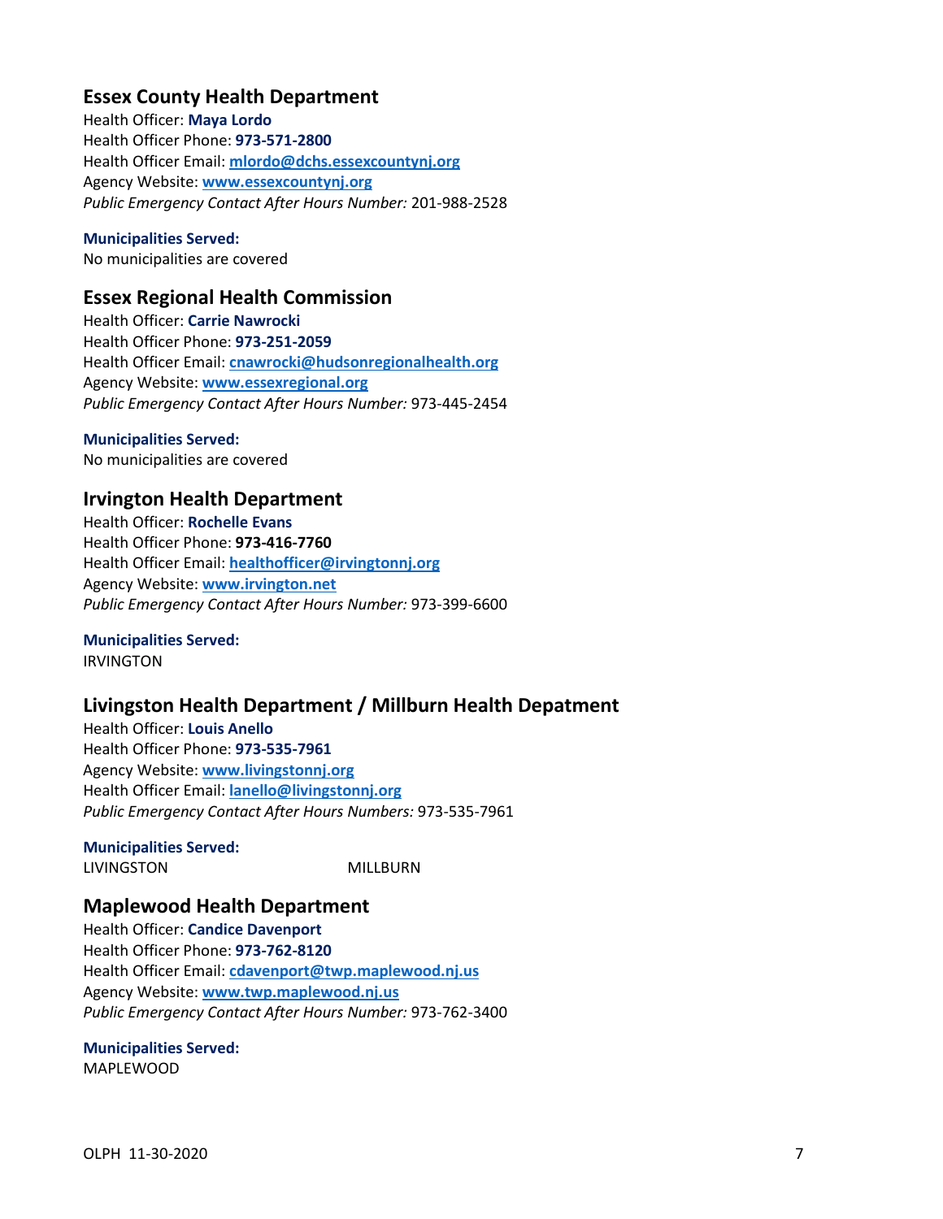## **Essex County Health Department**

Health Officer: **Maya Lordo** Health Officer Phone: **973-571-2800** Health Officer Email: **mlordo@dchs.essexcountynj.org** Agency Website: **[www.essexcountynj.org](http://www.essexcountynj.org/)** *Public Emergency Contact After Hours Number:* 201-988-2528

### **Municipalities Served:**

No municipalities are covered

### **Essex Regional Health Commission**

Health Officer: **Carrie Nawrocki** Health Officer Phone: **973-251-2059** Health Officer Email: **[cnawrocki@hudsonregionalhealth.org](mailto:cnawrocki@hudsonregionalhealth.org)** Agency Website: **[www.essexregional.org](http://www.essexregional.org/)** *Public Emergency Contact After Hours Number:* 973-445-2454

### **Municipalities Served:**

No municipalities are covered

## **Irvington Health Department**

Health Officer: **Rochelle Evans** Health Officer Phone: **973-416-7760** Health Officer Email: **[healthofficer@irvingtonnj.org](mailto:healthofficer@irvingtonnj.org)** Agency Website: **[www.irvington.net](http://www.irvington.net/)** *Public Emergency Contact After Hours Number:* 973-399-6600

#### **Municipalities Served:** IRVINGTON

## **Livingston Health Department / Millburn Health Depatment**

Health Officer: **Louis Anello** Health Officer Phone: **973-535-7961** Agency Website: **[www.livingstonnj.org](http://www.livingstonnj.org/)** Health Officer Email: **[lanello@livingstonnj.org](mailto:lanello@livingstonnj.org)** *Public Emergency Contact After Hours Numbers:* 973-535-7961

#### **Municipalities Served:** LIVINGSTON MILLBURN

## **Maplewood Health Department**

Health Officer: **Candice Davenport** Health Officer Phone: **973-762-8120** Health Officer Email: **[cdavenport@twp.maplewood.nj.us](mailto:cdavenport@twp.maplewood.nj.us)** Agency Website: **[www.twp.maplewood.nj.us](http://www.twp.maplewood.nj.us/)** *Public Emergency Contact After Hours Number:* 973-762-3400

#### **Municipalities Served:** MAPLEWOOD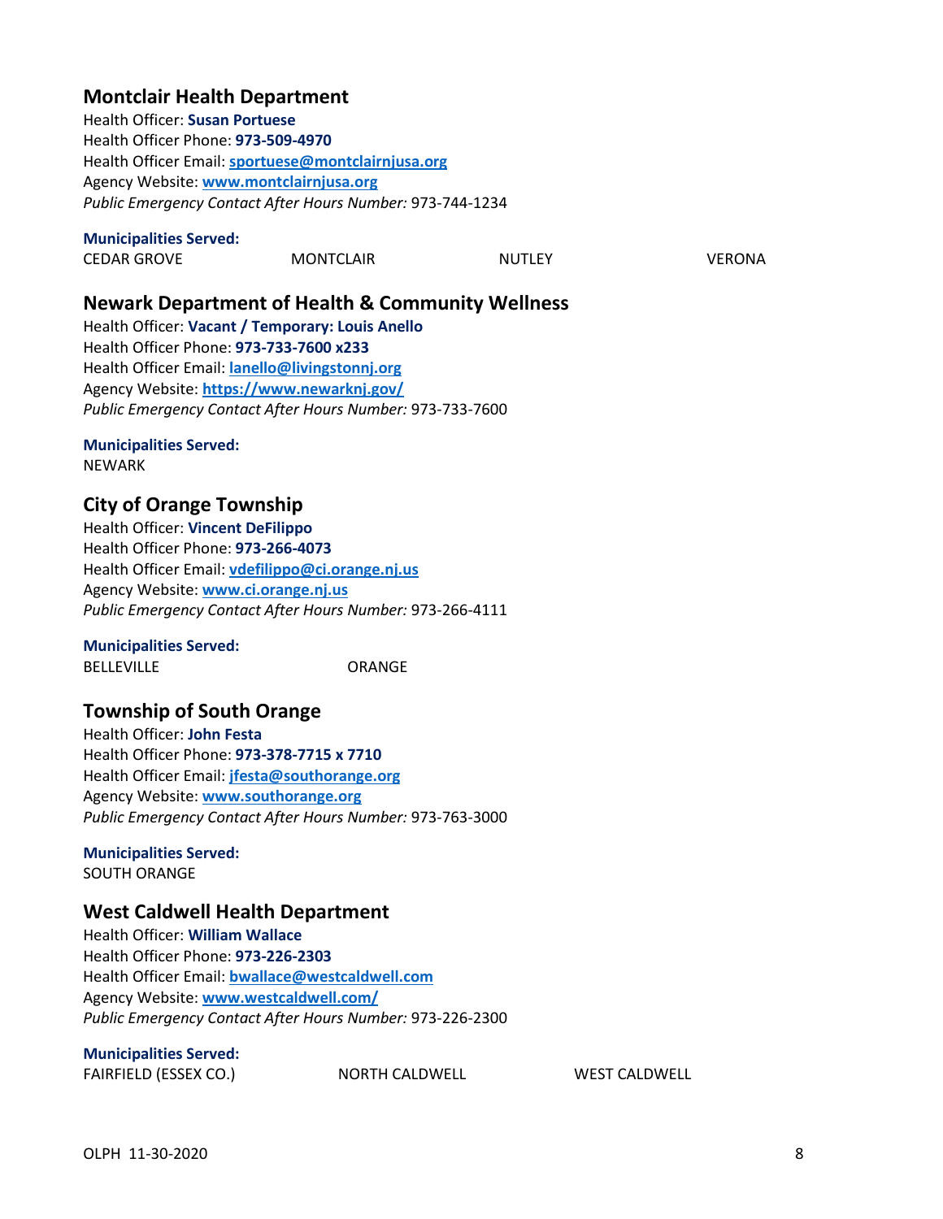## **Montclair Health Department**

Health Officer: **Susan Portuese** Health Officer Phone: **973-509-4970** Health Officer Email: **[sportuese@montclairnjusa.org](mailto:sportuese@montclairnjusa.org)** Agency Website: **[www.montclairnjusa.org](http://www.montclairnjusa.org/)** *Public Emergency Contact After Hours Number:* 973-744-1234

### **Municipalities Served:**

| <b>CEDAR GROVE</b> | <b>MONTCLAIR</b> | <b>NUTLEY</b> | VERONA |
|--------------------|------------------|---------------|--------|
|                    |                  |               |        |

**Newark Department of Health & Community Wellness**

Health Officer: **Vacant / Temporary: Louis Anello** Health Officer Phone: **973-733-7600 x233** Health Officer Email: **[lanello@livingstonnj.org](mailto:lanello@livingstonnj.org)** Agency Website: **<https://www.newarknj.gov/>** *Public Emergency Contact After Hours Number:* 973-733-7600

# **Municipalities Served:**

NEWARK

## **City of Orange Township**

Health Officer: **Vincent DeFilippo** Health Officer Phone: **973-266-4073** Health Officer Email: **[vdefilippo@ci.orange.nj.us](mailto:vdefilippo@ci.orange.nj.us)** Agency Website: **[www.ci.orange.nj.us](http://www.ci.orange.nj.us/)** *Public Emergency Contact After Hours Number:* 973-266-4111

### **Municipalities Served:**

BELLEVILLE ORANGE

## **Township of South Orange**

Health Officer: **John Festa** Health Officer Phone: **973-378-7715 x 7710** Health Officer Email: **[jfesta@southorange.org](mailto:jfesta@southorange.org)** Agency Website: **[www.southorange.org](http://www.southorange.org/)** *Public Emergency Contact After Hours Number:* 973-763-3000

**Municipalities Served:** SOUTH ORANGE

## **West Caldwell Health Department**

Health Officer: **William Wallace** Health Officer Phone: **973-226-2303** Health Officer Email: **[bwallace@westcaldwell.com](mailto:bwallace@westcaldwell.com)** Agency Website: **[www.westcaldwell.com/](http://www.westcaldwell.com/)** *Public Emergency Contact After Hours Number:* 973-226-2300

### **Municipalities Served:**

FAIRFIELD (ESSEX CO.) NORTH CALDWELL WEST CALDWELL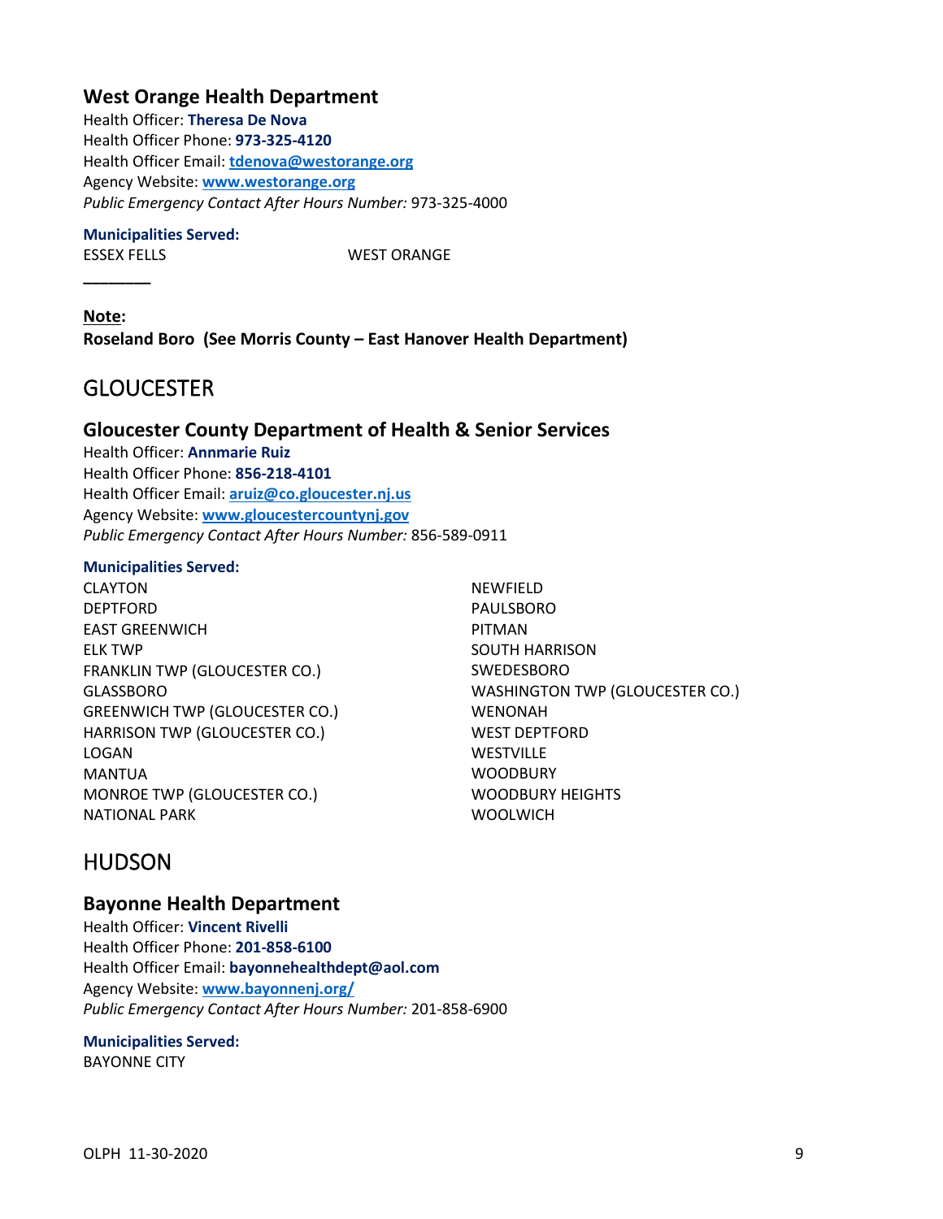## **West Orange Health Department**

Health Officer: **Theresa De Nova** Health Officer Phone: **973-325-4120** Health Officer Email: **[tdenova@westorange.org](mailto:tdenova@westorange.org)** Agency Website: **[www.westorange.org](http://www.westorange.org/)** *Public Emergency Contact After Hours Number:* 973-325-4000

### **Municipalities Served:**

**\_\_\_\_\_\_\_\_**

ESSEX FELLS WEST ORANGE

**Note: Roseland Boro (See Morris County – East Hanover Health Department)**

# <span id="page-10-0"></span>**GLOUCESTER**

## **Gloucester County Department of Health & Senior Services**

Health Officer: **Annmarie Ruiz** Health Officer Phone: **856-218-4101** Health Officer Email: **[aruiz@co.gloucester.nj.us](mailto:aruiz@co.gloucester.nj.us)** Agency Website: **[www.gloucestercountynj.gov](http://www.gloucestercountynj.gov/)** *Public Emergency Contact After Hours Number:* 856-589-0911

### **Municipalities Served:**

CLAYTON DEPTFORD EAST GREENWICH ELK TWP FRANKLIN TWP (GLOUCESTER CO.) GLASSBORO GREENWICH TWP (GLOUCESTER CO.) HARRISON TWP (GLOUCESTER CO.) LOGAN MANTUA MONROE TWP (GLOUCESTER CO.) NATIONAL PARK

NEWFIELD PAULSBORO PITMAN SOUTH HARRISON SWEDESBORO WASHINGTON TWP (GLOUCESTER CO.) WENONAH WEST DEPTFORD **WESTVILLE WOODBURY** WOODBURY HEIGHTS **WOOLWICH** 

# <span id="page-10-1"></span>HUDSON

### **Bayonne Health Department**

Health Officer: **Vincent Rivelli** Health Officer Phone: **201-858-6100** Health Officer Email: **bayonnehealthdept@aol.com** Agency Website: **[www.bayonnenj.org/](http://www.bayonnenj.org/)** *Public Emergency Contact After Hours Number:* 201-858-6900

### **Municipalities Served:**

BAYONNE CITY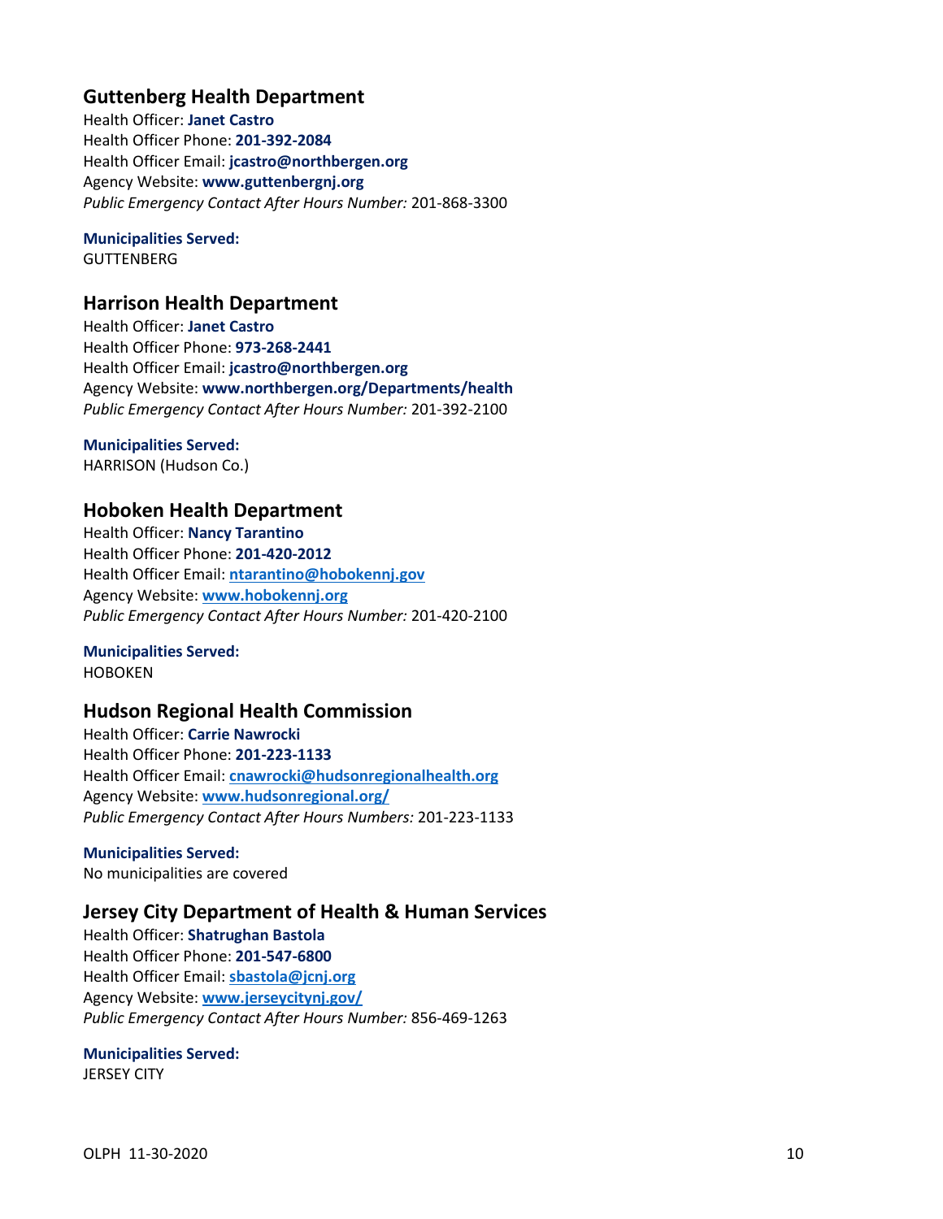## **Guttenberg Health Department**

Health Officer: **Janet Castro** Health Officer Phone: **201-392-2084** Health Officer Email: **jcastro@northbergen.org** Agency Website: **www.guttenbergnj.org** *Public Emergency Contact After Hours Number:* 201-868-3300

## **Municipalities Served:**

**GUTTENBERG** 

## **Harrison Health Department**

Health Officer: **Janet Castro** Health Officer Phone: **973-268-2441** Health Officer Email: **jcastro@northbergen.org** Agency Website: **www.northbergen.org/Departments/health** *Public Emergency Contact After Hours Number:* 201-392-2100

# **Municipalities Served:**

HARRISON (Hudson Co.)

## **Hoboken Health Department**

Health Officer: **Nancy Tarantino** Health Officer Phone: **201-420-2012** Health Officer Email: **[ntarantino@hobokennj.gov](mailto:ntarantino@hobokennj.gov)** Agency Website: **[www.hobokennj.org](http://www.hobokennj.org/)** *Public Emergency Contact After Hours Number:* 201-420-2100

## **Municipalities Served:**

HOBOKEN

## **Hudson Regional Health Commission**

Health Officer: **Carrie Nawrocki** Health Officer Phone: **201-223-1133** Health Officer Email: **[cnawrocki@hudsonregionalhealth.org](mailto:cnawrocki@hudsonregionalhealth.org)** Agency Website: **[www.hudsonregional.org/](http://www.hudsonregional.org/)** *Public Emergency Contact After Hours Numbers:* 201-223-1133

**Municipalities Served:** No municipalities are covered

## **Jersey City Department of Health & Human Services**

Health Officer: **Shatrughan Bastola** Health Officer Phone: **201-547-6800** Health Officer Email: **[sbastola@jcnj.org](mailto:sbastola@jcnj.org)** Agency Website: **[www.jerseycitynj.gov/](http://www.jerseycitynj.gov/)** *Public Emergency Contact After Hours Number:* 856-469-1263

### **Municipalities Served:**

JERSEY CITY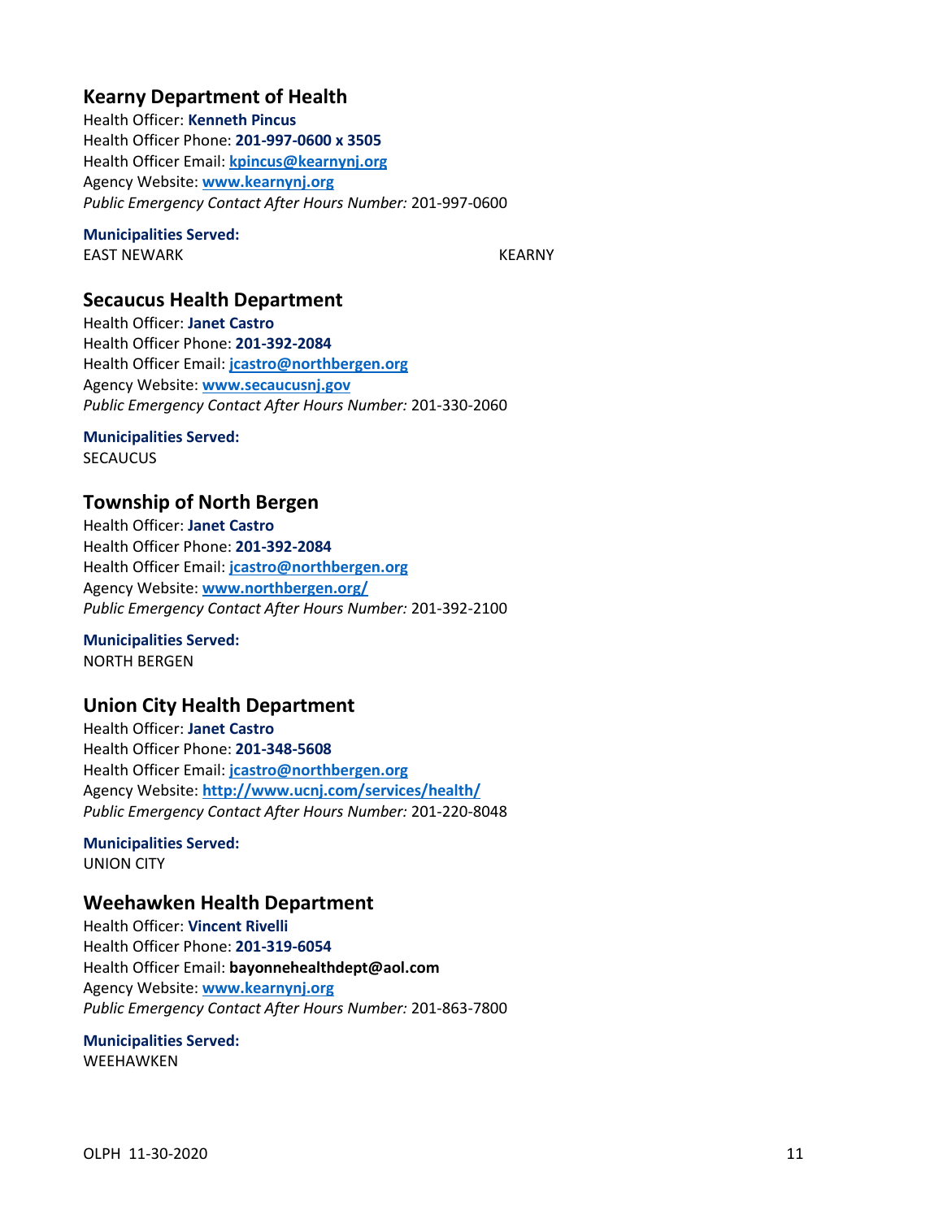## **Kearny Department of Health**

Health Officer: **Kenneth Pincus** Health Officer Phone: **201-997-0600 x 3505** Health Officer Email: **[kpincus@kearnynj.org](mailto:kpincus@kearnynj.org)** Agency Website: **[www.kearnynj.org](http://www.kearnynj.org/)** *Public Emergency Contact After Hours Number:* 201-997-0600

### **Municipalities Served:**

EAST NEWARK KEARNY

### **Secaucus Health Department**

Health Officer: **Janet Castro** Health Officer Phone: **201-392-2084** Health Officer Email: **[jcastro@northbergen.org](mailto:jcastro@northbergen.org)** Agency Website: **[www.secaucusnj.gov](http://www.secaucusnj.gov/)** *Public Emergency Contact After Hours Number:* 201-330-2060

# **Municipalities Served:**

**SECAUCUS** 

## **Township of North Bergen**

Health Officer: **Janet Castro** Health Officer Phone: **201-392-2084** Health Officer Email: **[jcastro@northbergen.org](mailto:jcastro@northbergen.org)** Agency Website: **[www.northbergen.org/](http://www.northbergen.org/)** *Public Emergency Contact After Hours Number:* 201-392-2100

**Municipalities Served:** NORTH BERGEN

## <span id="page-12-0"></span>**Union City Health Department**

Health Officer: **Janet Castro** Health Officer Phone: **201-348-5608** Health Officer Email: **[jcastro@northbergen.org](mailto:jcastro@northbergen.org)** Agency Website: **<http://www.ucnj.com/services/health/>** *Public Emergency Contact After Hours Number:* 201-220-8048

**Municipalities Served:** UNION CITY

## **Weehawken Health Department**

Health Officer: **Vincent Rivelli** Health Officer Phone: **201-319-6054** Health Officer Email: **bayonnehealthdept@aol.com** Agency Website: **[www.kearnynj.org](http://www.kearnynj.org/)** *Public Emergency Contact After Hours Number:* 201-863-7800

### **Municipalities Served:** WEEHAWKEN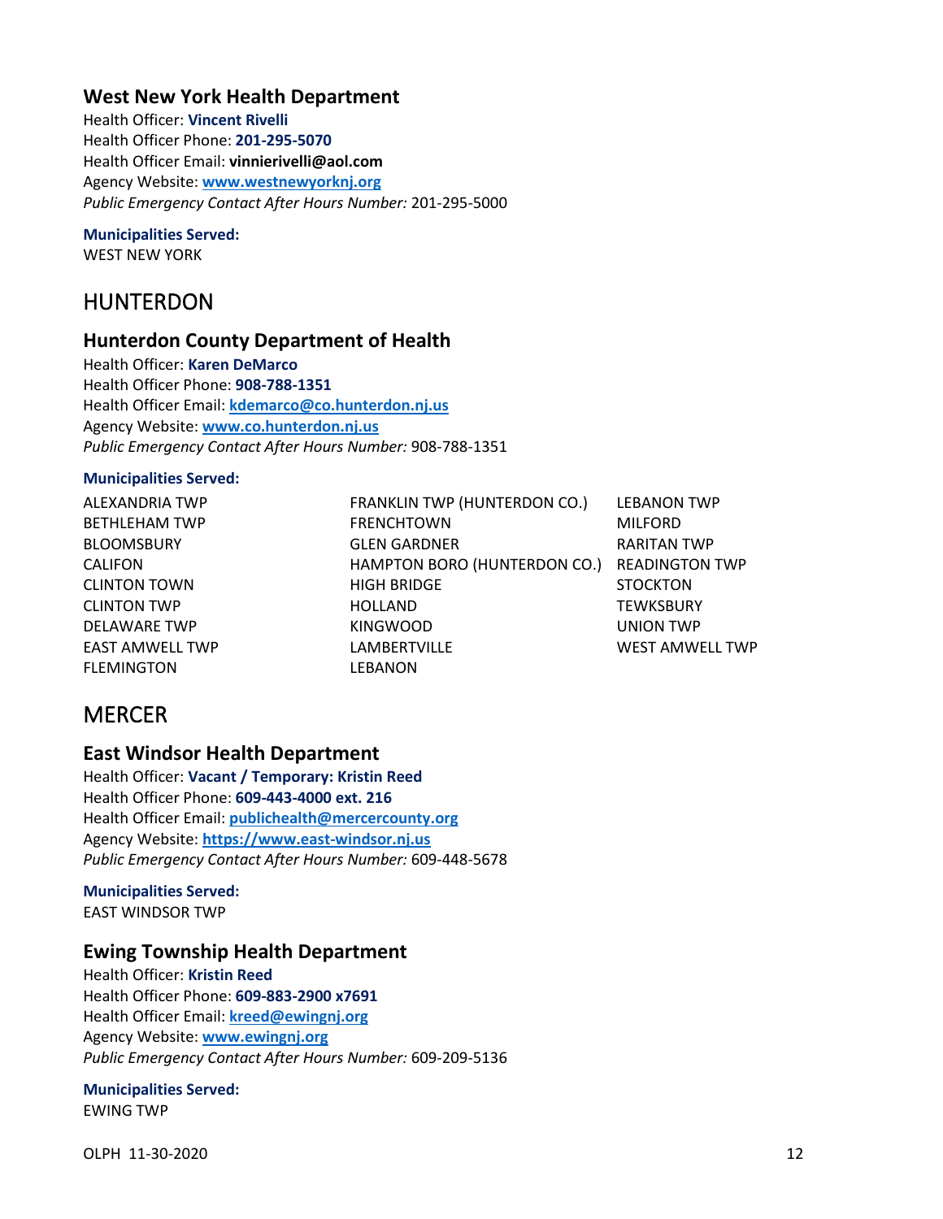## **West New York Health Department**

Health Officer: **Vincent Rivelli** Health Officer Phone: **201-295-5070** Health Officer Email: **vinnierivelli@aol.com** Agency Website: **[www.westnewyorknj.org](http://www.westnewyorknj.org/)** *Public Emergency Contact After Hours Number:* 201-295-5000

### **Municipalities Served:**

WEST NEW YORK

## HUNTERDON

### **Hunterdon County Department of Health**

Health Officer: **Karen DeMarco** Health Officer Phone: **908-788-1351** Health Officer Email: **[kdemarco@co.hunterdon.nj.us](mailto:kdemarco@co.hunterdon.nj.us)** Agency Website: **[www.co.hunterdon.nj.us](http://www.co.hunterdon.nj.us/)** *Public Emergency Contact After Hours Number:* 908-788-1351

### **Municipalities Served:**

ALEXANDRIA TWP BETHLEHAM TWP BLOOMSBURY CALIFON CLINTON TOWN CLINTON TWP DELAWARE TWP EAST AMWELL TWP **FLEMINGTON** 

FRANKLIN TWP (HUNTERDON CO.) FRENCHTOWN GLEN GARDNER HAMPTON BORO (HUNTERDON CO.) READINGTON TWP HIGH BRIDGE HOLLAND KINGWOOD **LAMBERTVILLE LEBANON** 

LEBANON TWP MILFORD RARITAN TWP **STOCKTON TEWKSBURY** UNION TWP WEST AMWELL TWP

# <span id="page-13-0"></span>**MERCER**

### **East Windsor Health Department**

Health Officer: **Vacant / Temporary: Kristin Reed** Health Officer Phone: **609-443-4000 ext. 216** Health Officer Email: **[publichealth@mercercounty.org](mailto:publichealth@mercercounty.org)** Agency Website: **[https://www.east-windsor.nj.us](https://www.east-windsor.nj.us/health-department)** *Public Emergency Contact After Hours Number:* 609-448-5678

#### **Municipalities Served:** EAST WINDSOR TWP

### **Ewing Township Health Department**

Health Officer: **Kristin Reed** Health Officer Phone: **609-883-2900 x7691** Health Officer Email: **[kreed@ewingnj.org](mailto:kreed@ewingnj.org)** Agency Website: **[www.ewingnj.org](http://www.ewingnj.org/)** *Public Emergency Contact After Hours Number:* 609-209-5136

### **Municipalities Served:**

EWING TWP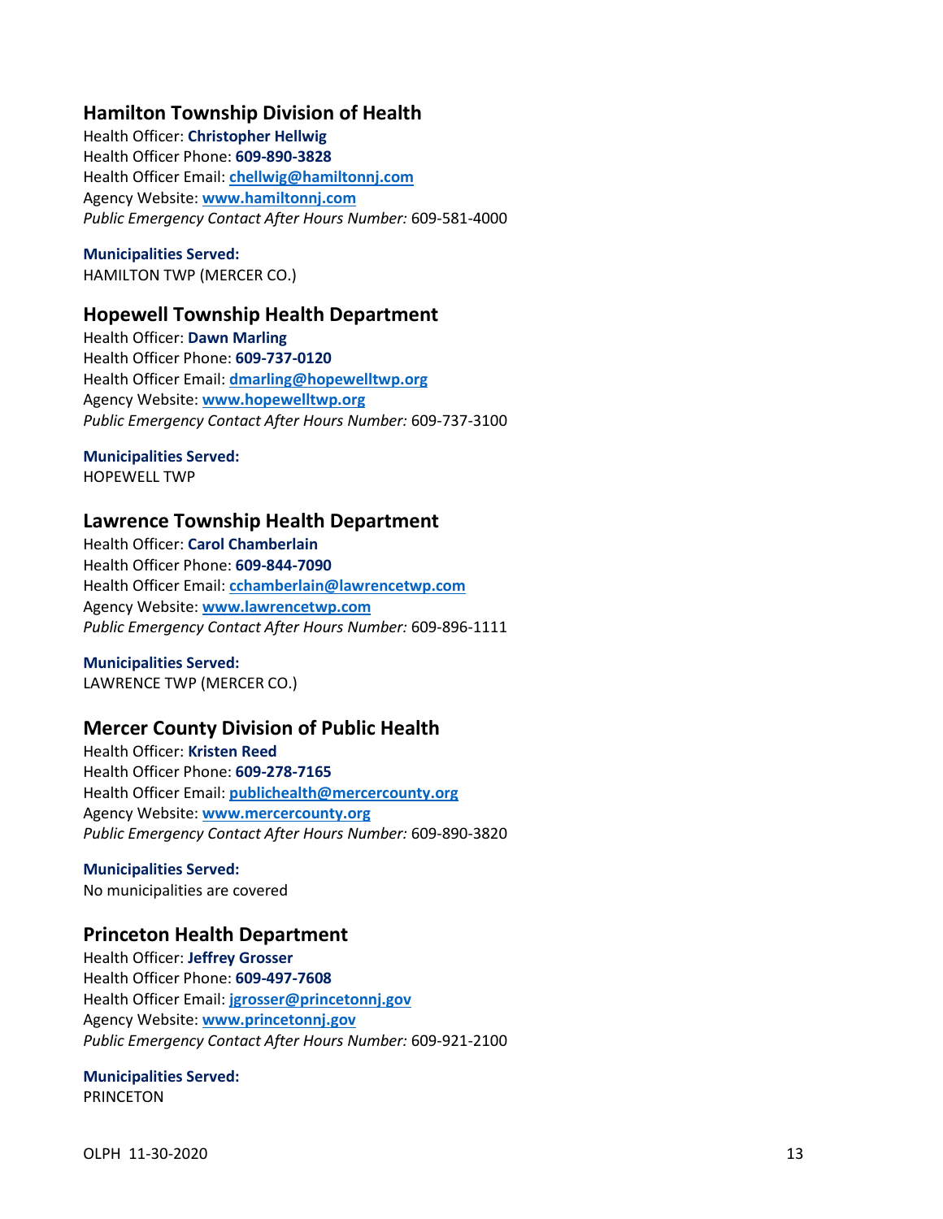## **Hamilton Township Division of Health**

Health Officer: **Christopher Hellwig** Health Officer Phone: **609-890-3828** Health Officer Email: **[chellwig@hamiltonnj.com](mailto:chellwig@hamiltonnj.com)** Agency Website: **[www.hamiltonnj.com](http://www.hamiltonnj.com/)** *Public Emergency Contact After Hours Number:* 609-581-4000

**Municipalities Served:** HAMILTON TWP (MERCER CO.)

### **Hopewell Township Health Department**

Health Officer: **Dawn Marling** Health Officer Phone: **609-737-0120** Health Officer Email: **[dmarling@hopewelltwp.org](mailto:dmarling@hopewelltwp.org)**  Agency Website: **[www.hopewelltwp.org](http://www.hopewelltwp.org/)** *Public Emergency Contact After Hours Number:* 609-737-3100

### **Municipalities Served:**

HOPEWELL TWP

### **Lawrence Township Health Department**

Health Officer: **Carol Chamberlain** Health Officer Phone: **609-844-7090** Health Officer Email: **[cchamberlain@lawrencetwp.com](mailto:cchamberlain@lawrencetwp.com)** Agency Website: **[www.lawrencetwp.com](http://www.lawrencetwp.com/)** *Public Emergency Contact After Hours Number:* 609-896-1111

**Municipalities Served:** LAWRENCE TWP (MERCER CO.)

## **Mercer County Division of Public Health**

Health Officer: **Kristen Reed** Health Officer Phone: **609-278-7165** Health Officer Email: **[publichealth@mercercounty.org](mailto:publichealth@mercercounty.org)** Agency Website: **[www.mercercounty.org](http://www.mercercounty.org/)** *Public Emergency Contact After Hours Number:* 609-890-3820

**Municipalities Served:** No municipalities are covered

## **Princeton Health Department**

Health Officer: **Jeffrey Grosser** Health Officer Phone: **609-497-7608** Health Officer Email: **[jgrosser@princetonnj.gov](mailto:jgrosser@princetonnj.gov)** Agency Website: **[www.princetonnj.gov](http://www.princetonnj.gov/)** *Public Emergency Contact After Hours Number:* 609-921-2100

### **Municipalities Served:**

PRINCETON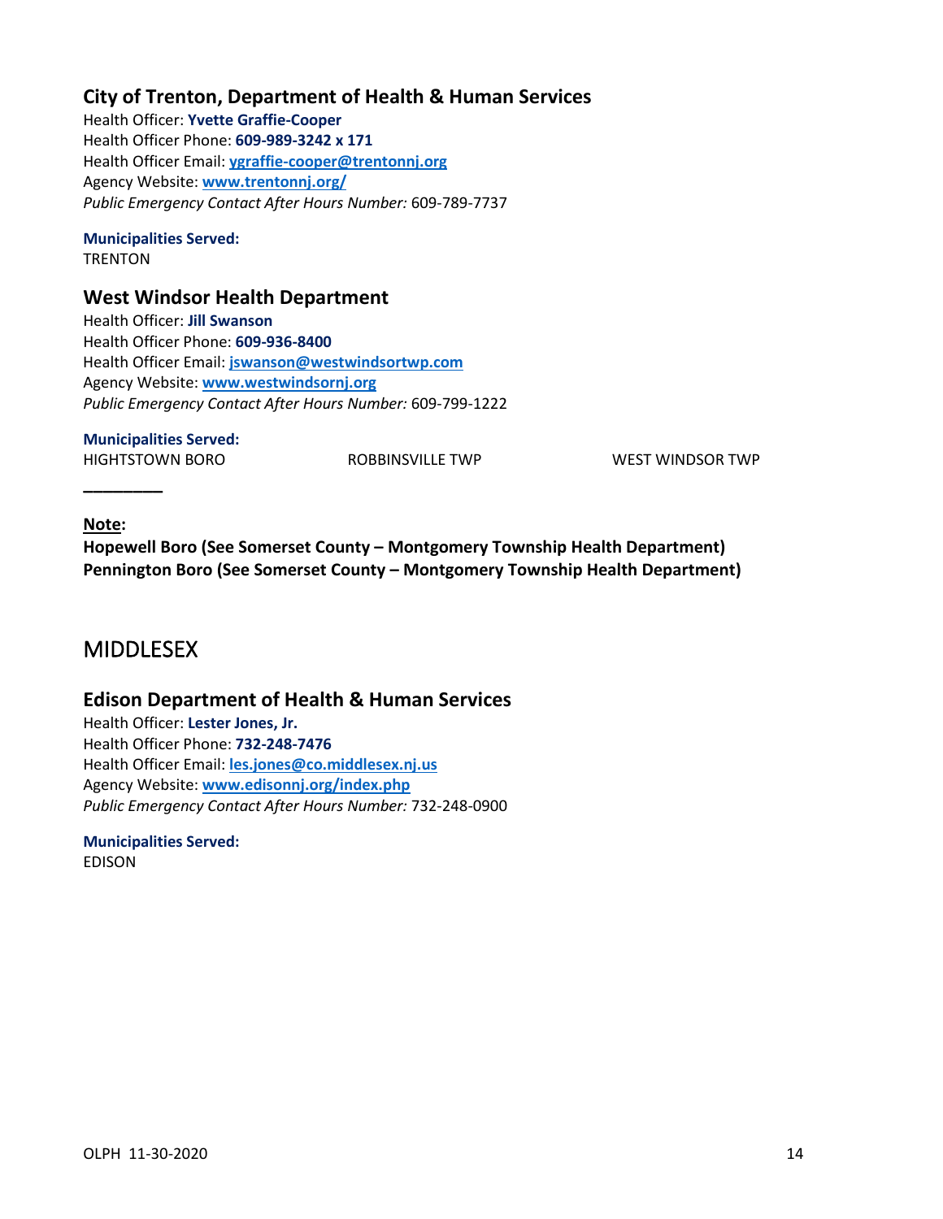## **City of Trenton, Department of Health & Human Services**

Health Officer: **Yvette Graffie-Cooper** Health Officer Phone: **609-989-3242 x 171** Health Officer Email: **[ygraffie-cooper@trentonnj.org](mailto:ygraffie-cooper@trentonnj.org)** Agency Website: **[www.trentonnj.org/](http://www.trentonnj.org/)** *Public Emergency Contact After Hours Number:* 609-789-7737

### **Municipalities Served:**

**TRENTON** 

## **West Windsor Health Department**

Health Officer: **Jill Swanson** Health Officer Phone: **609-936-8400** Health Officer Email: **[jswanson@westwindsortwp.com](mailto:jswanson@westwindsortwp.com)** Agency Website: **[www.westwindsornj.org](http://www.westwindsornj.org/)** *Public Emergency Contact After Hours Number:* 609-799-1222

### **Municipalities Served:**

HIGHTSTOWN BORO ROBBINSVILLE TWP WEST WINDSOR TWP

### **Note:**

<span id="page-15-0"></span>**\_\_\_\_\_\_\_\_**

**Hopewell Boro (See Somerset County – Montgomery Township Health Department) Pennington Boro (See Somerset County – Montgomery Township Health Department)**

## MIDDLESEX

## **Edison Department of Health & Human Services**

Health Officer: **Lester Jones, Jr.** Health Officer Phone: **732-248-7476** Health Officer Email: **[les.jones@co.middlesex.nj.us](mailto:les.jones@co.middlesex.nj.us)** Agency Website: **[www.edisonnj.org/index.php](http://www.edisonnj.org/index.php)** *Public Emergency Contact After Hours Number:* 732-248-0900

# **Municipalities Served:**

EDISON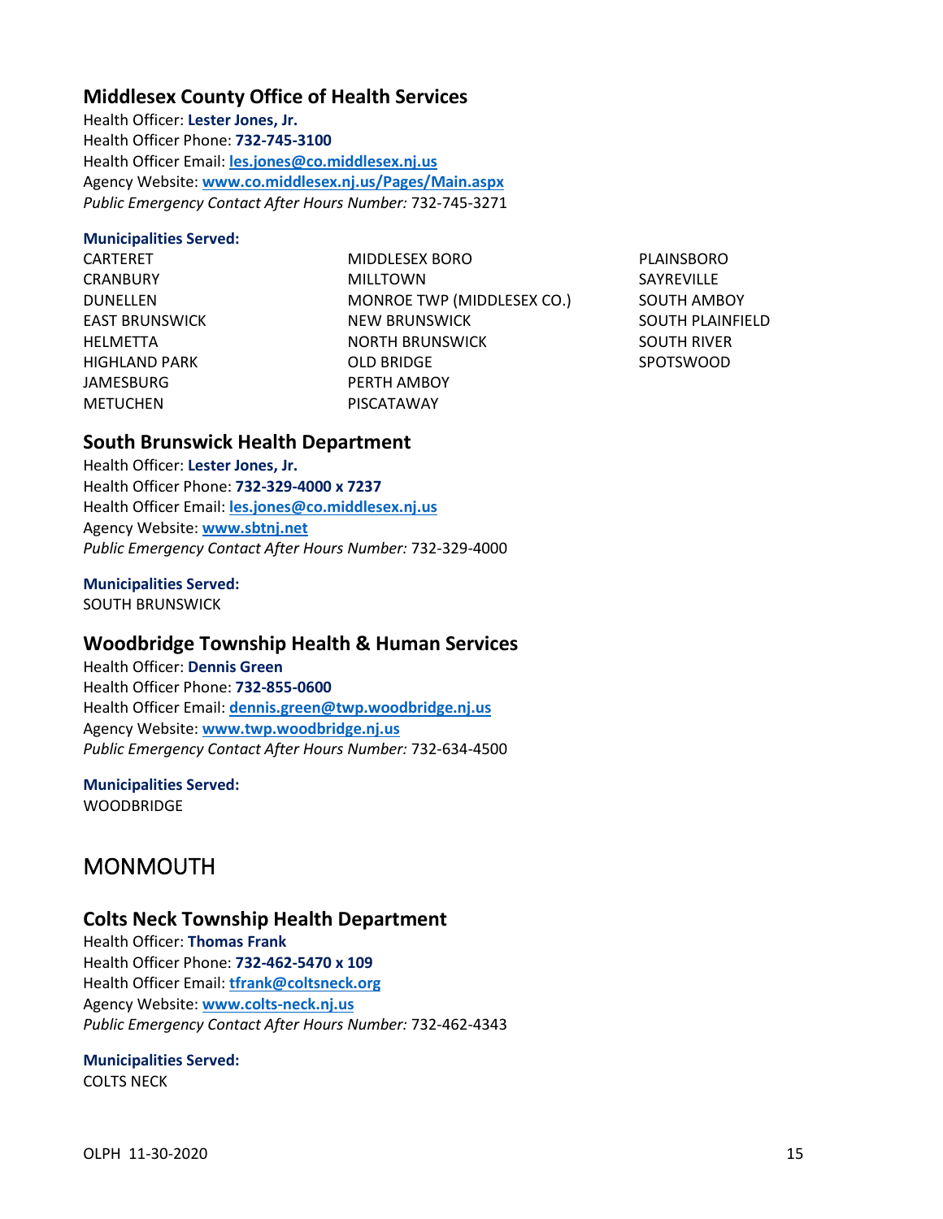## **Middlesex County Office of Health Services**

Health Officer: **Lester Jones, Jr.** Health Officer Phone: **732-745-3100** Health Officer Email: **[les.jones@co.middlesex.nj.us](mailto:les.jones@co.middlesex.nj.us)** Agency Website: **[www.co.middlesex.nj.us/Pages/Main.aspx](http://www.co.middlesex.nj.us/Pages/Main.aspx)** *Public Emergency Contact After Hours Number:* 732-745-3271

### **Municipalities Served:**

CARTERET **CRANBURY** DUNELLEN EAST BRUNSWICK HELMETTA HIGHLAND PARK JAMESBURG METUCHEN

MIDDLESEX BORO MILLTOWN MONROE TWP (MIDDLESEX CO.) NEW BRUNSWICK NORTH BRUNSWICK OLD BRIDGE PERTH AMBOY PISCATAWAY

PLAINSBORO SAYREVILLE SOUTH AMBOY SOUTH PLAINFIELD SOUTH RIVER SPOTSWOOD

## **South Brunswick Health Department**

Health Officer: **Lester Jones, Jr.** Health Officer Phone: **732-329-4000 x 7237** Health Officer Email: **[les.jones@co.middlesex.nj.us](mailto:les.jones@co.middlesex.nj.us)** Agency Website: **[www.sbtnj.net](http://www.sbtnj.net/)** *Public Emergency Contact After Hours Number:* 732-329-4000

### **Municipalities Served:**

SOUTH BRUNSWICK

## **Woodbridge Township Health & Human Services**

Health Officer: **Dennis Green** Health Officer Phone: **732-855-0600** Health Officer Email: **[dennis.green@twp.woodbridge.nj.us](mailto:dennis.green@twp.woodbridge.nj.us)** Agency Website: **[www.twp.woodbridge.nj.us](http://www.twp.woodbridge.nj.us/)** *Public Emergency Contact After Hours Number:* 732-634-4500

## **Municipalities Served:**

<span id="page-16-0"></span>**WOODBRIDGE** 

# MONMOUTH

### **Colts Neck Township Health Department**

Health Officer: **Thomas Frank** Health Officer Phone: **732-462-5470 x 109** Health Officer Email: **[tfrank@coltsneck.org](mailto:tfrank@coltsneck.org)** Agency Website: **[www.colts-neck.nj.us](http://www.colts-neck.nj.us/)** *Public Emergency Contact After Hours Number:* 732-462-4343

### **Municipalities Served:**

COLTS NECK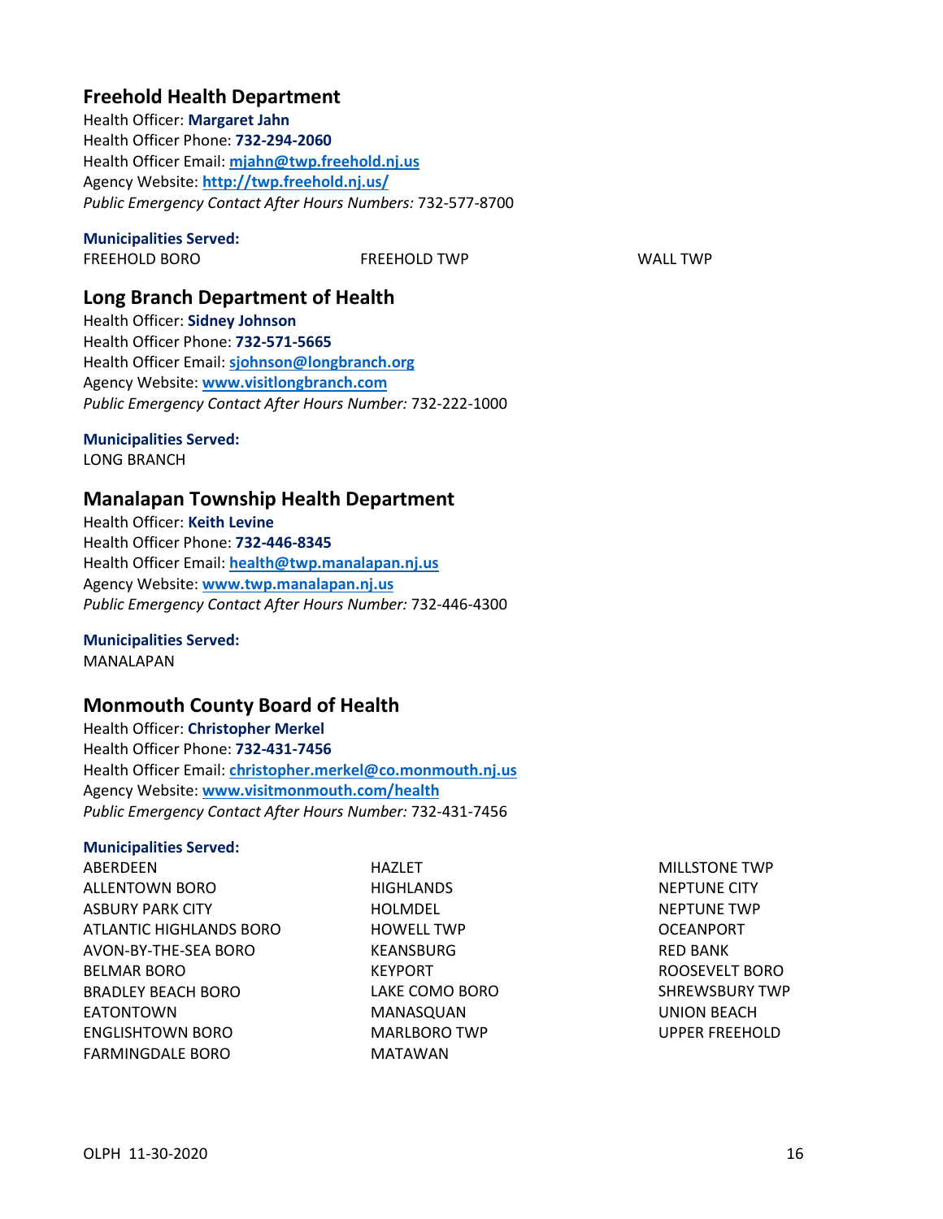## **Freehold Health Department**

Health Officer: **Margaret Jahn** Health Officer Phone: **732-294-2060** Health Officer Email: **[mjahn@twp.freehold.nj.us](mailto:mjahn@twp.freehold.nj.us)** Agency Website: **<http://twp.freehold.nj.us/>** *Public Emergency Contact After Hours Numbers:* 732-577-8700

### **Municipalities Served:**

FREEHOLD BORO FREEHOLD TWP WALL TWP

## **Long Branch Department of Health**

Health Officer: **Sidney Johnson** Health Officer Phone: **732-571-5665** Health Officer Email: **[sjohnson@longbranch.org](mailto:sjohnson@longbranch.org)** Agency Website: **[www.visitlongbranch.com](http://www.visitlongbranch.com/)** *Public Emergency Contact After Hours Number:* 732-222-1000

### **Municipalities Served:**

LONG BRANCH

### **Manalapan Township Health Department**

Health Officer: **Keith Levine** Health Officer Phone: **732-446-8345** Health Officer Email: **[health@twp.manalapan.nj.us](mailto:health@twp.manalapan.nj.us)** Agency Website: **[www.twp.manalapan.nj.us](http://www.twp.manalapan.nj.us/)** *Public Emergency Contact After Hours Number:* 732-446-4300

#### **Municipalities Served:** MANALAPAN

## **Monmouth County Board of Health**

Health Officer: **Christopher Merkel** Health Officer Phone: **732-431-7456** Health Officer Email: **[christopher.merkel@co.monmouth.nj.us](mailto:christopher.merkel@co.monmouth.nj.us)** Agency Website: **[www.visitmonmouth.com/health](http://www.visitmonmouth.com/health)** *Public Emergency Contact After Hours Number:* 732-431-7456

### **Municipalities Served:**

**ABERDEEN** ALLENTOWN BORO ASBURY PARK CITY ATLANTIC HIGHLANDS BORO AVON-BY-THE-SEA BORO BELMAR BORO BRADLEY BEACH BORO EATONTOWN ENGLISHTOWN BORO FARMINGDALE BORO

HAZI FT **HIGHLANDS** HOLMDEL HOWELL TWP KEANSBURG KEYPORT LAKE COMO BORO MANASQUAN MARLBORO TWP MATAWAN

MILLSTONE TWP NEPTUNE CITY NEPTUNE TWP OCEANPORT RED BANK ROOSEVELT BORO SHREWSBURY TWP UNION BEACH UPPER FREEHOLD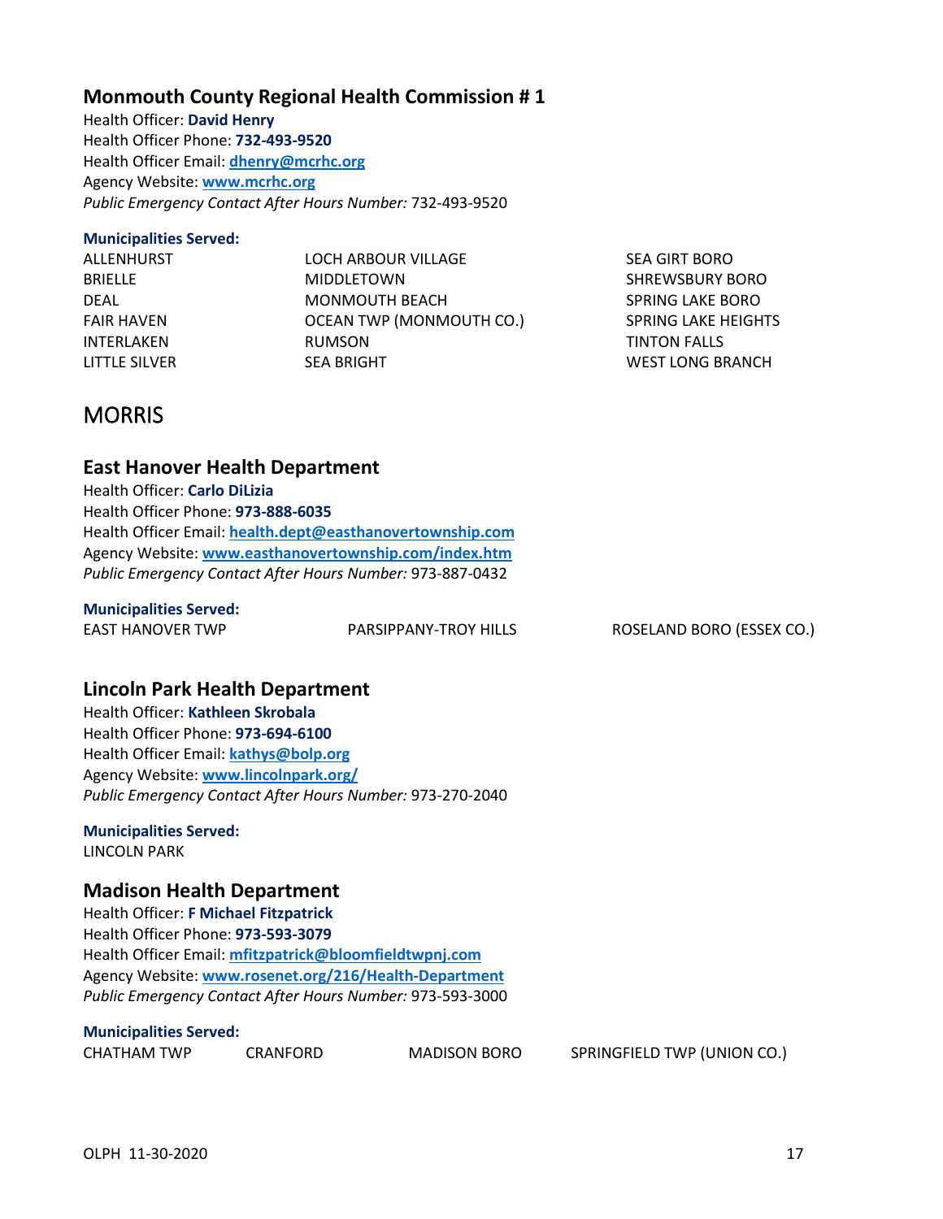#### OLPH 11-30-2020 20:00 17

### **Monmouth County Regional Health Commission # 1**

Health Officer: **David Henry** Health Officer Phone: **732-493-9520** Health Officer Email: **[dhenry@mcrhc.org](mailto:dhenry@mcrhc.org)** Agency Website: **[www.mcrhc.org](http://www.mcrhc.org/)** *Public Emergency Contact After Hours Number:* 732-493-9520

### **Municipalities Served:**

| LOCH ARBOUR VILLAGE      |
|--------------------------|
| <b>MIDDLETOWN</b>        |
| MONMOUTH BEACH           |
| OCEAN TWP (MONMOUTH CO.) |
| <b>RUMSON</b>            |
| <b>SEA BRIGHT</b>        |
|                          |

SEA GIRT BORO SHREWSBURY BORO SPRING LAKE BORO SPRING LAKE HEIGHTS TINTON FALLS WEST LONG BRANCH

# <span id="page-18-0"></span>**MORRIS**

### **East Hanover Health Department**

Health Officer: **Carlo DiLizia** Health Officer Phone: **973-888-6035** Health Officer Email: **[health.dept@easthanovertownship.com](mailto:health.dept@easthanovertownship.com)** Agency Website: **[www.easthanovertownship.com/index.htm](http://www.easthanovertownship.com/index.htm)** *Public Emergency Contact After Hours Number:* 973-887-0432

### **Municipalities Served:**

EAST HANOVER TWP PARSIPPANY-TROY HILLS ROSELAND BORO (ESSEX CO.)

## **Lincoln Park Health Department**

Health Officer: **Kathleen Skrobala** Health Officer Phone: **973-694-6100** Health Officer Email: **[kathys@bolp.org](mailto:kathys@bolp.org)** Agency Website: **[www.lincolnpark.org/](http://www.lincolnpark.org/)** *Public Emergency Contact After Hours Number:* 973-270-2040

### **Municipalities Served:**

LINCOLN PARK

### **Madison Health Department**

Health Officer: **F Michael Fitzpatrick** Health Officer Phone: **973-593-3079** Health Officer Email: **[mfitzpatrick@bloomfieldtwpnj.com](mailto:mfitzpatrick@bloomfieldtwpnj.com)** Agency Website: **[www.rosenet.org/216/Health-Department](http://www.rosenet.org/216/Health-Department)** *Public Emergency Contact After Hours Number:* 973-593-3000

### **Municipalities Served:**

| CHATHAM TWP | CRA |
|-------------|-----|
|             |     |

NFORD MADISON BORO SPRINGFIELD TWP (UNION CO.)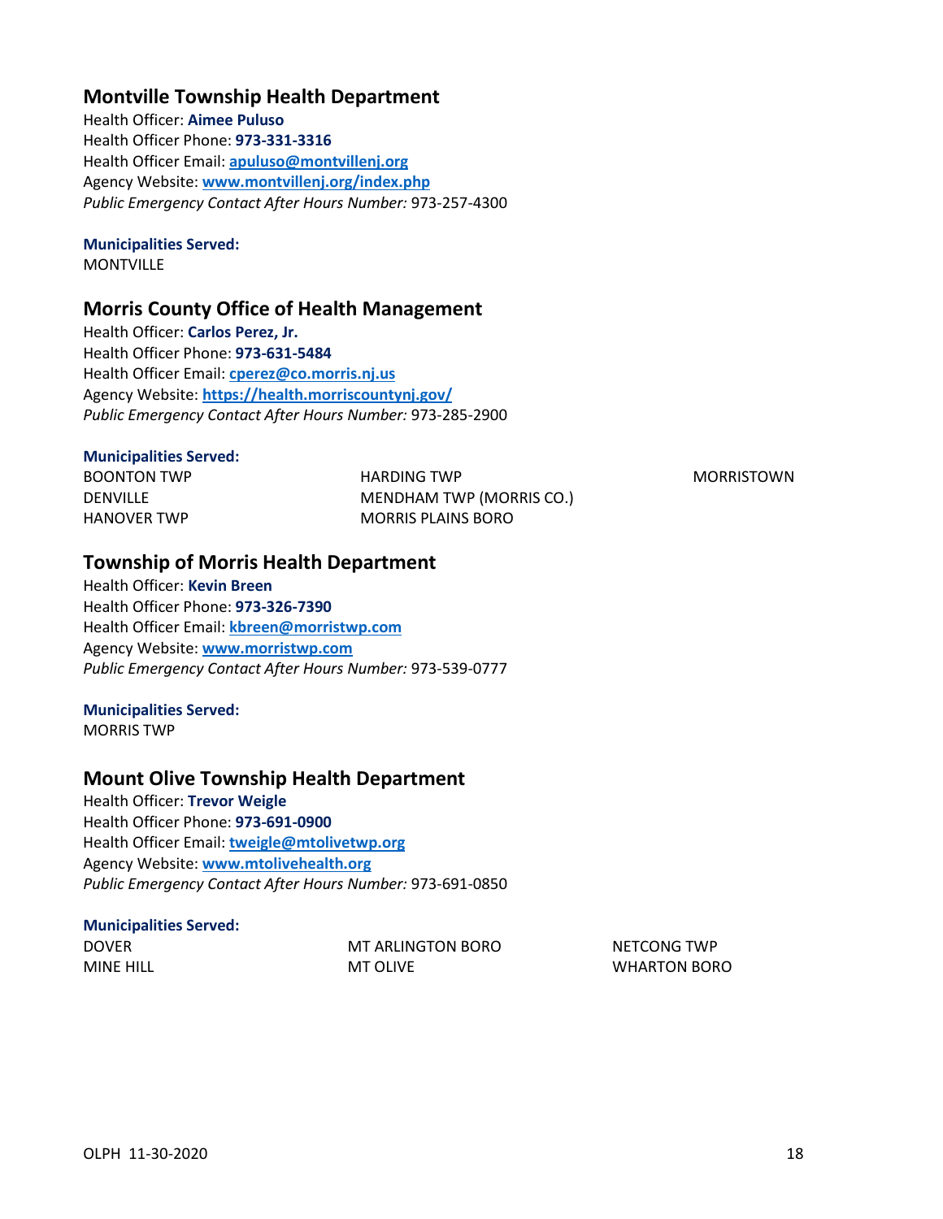## **Montville Township Health Department**

Health Officer: **Aimee Puluso** Health Officer Phone: **973-331-3316** Health Officer Email: **[apuluso@montvillenj.org](mailto:apuluso@montvillenj.org)** Agency Website: **[www.montvillenj.org/index.php](http://www.montvillenj.org/index.php)** *Public Emergency Contact After Hours Number:* 973-257-4300

### **Municipalities Served:**

**MONTVILLE** 

### **Morris County Office of Health Management**

Health Officer: **Carlos Perez, Jr.** Health Officer Phone: **973-631-5484** Health Officer Email: **[cperez@co.morris.nj.us](mailto:cperez@co.morris.nj.us)** Agency Website: **<https://health.morriscountynj.gov/>** *Public Emergency Contact After Hours Number:* 973-285-2900

### **Municipalities Served:**

BOONTON TWP DENVILLE HANOVER TWP

HARDING TWP MENDHAM TWP (MORRIS CO.) MORRIS PLAINS BORO

MORRISTOWN

## **Township of Morris Health Department**

Health Officer: **Kevin Breen** Health Officer Phone: **973-326-7390** Health Officer Email: **[kbreen@morristwp.com](mailto:kbreen@morristwp.com)** Agency Website: **[www.morristwp.com](http://www.morristwp.com/)** *Public Emergency Contact After Hours Number:* 973-539-0777

### **Municipalities Served:**

MORRIS TWP

### **Mount Olive Township Health Department**

Health Officer: **Trevor Weigle** Health Officer Phone: **973-691-0900** Health Officer Email: **[tweigle@mtolivetwp.org](mailto:tweigle@mtolivetwp.org)** Agency Website: **[www.mtolivehealth.org](http://www.mtolivehealth.org/)** *Public Emergency Contact After Hours Number:* 973-691-0850

#### **Municipalities Served:** DOVER

| DOVER            |  |
|------------------|--|
| <b>MINE HILL</b> |  |

MT ARLINGTON BORO MT OLIVE

NETCONG TWP WHARTON BORO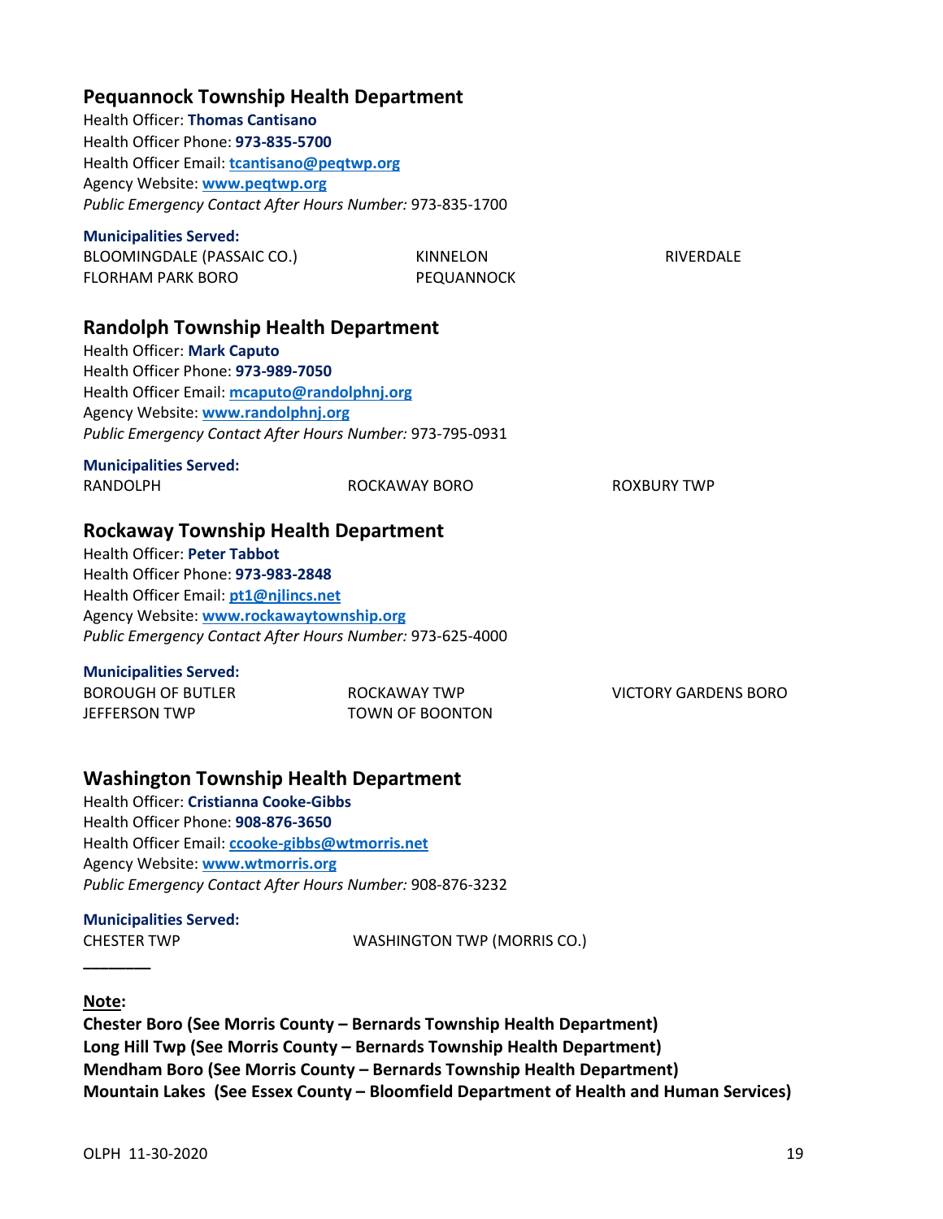| <b>Pequannock Township Health Department</b><br><b>Health Officer: Thomas Cantisano</b><br>Health Officer Phone: 973-835-5700<br>Health Officer Email: tcantisano@peqtwp.org<br>Agency Website: www.peqtwp.org<br>Public Emergency Contact After Hours Number: 973-835-1700             |                                        |                             |
|-----------------------------------------------------------------------------------------------------------------------------------------------------------------------------------------------------------------------------------------------------------------------------------------|----------------------------------------|-----------------------------|
| <b>Municipalities Served:</b><br>BLOOMINGDALE (PASSAIC CO.)<br><b>FLORHAM PARK BORO</b>                                                                                                                                                                                                 | <b>KINNELON</b><br>PEQUANNOCK          | <b>RIVERDALE</b>            |
| <b>Randolph Township Health Department</b><br>Health Officer: Mark Caputo<br>Health Officer Phone: 973-989-7050<br>Health Officer Email: mcaputo@randolphnj.org<br>Agency Website: www.randolphnj.org<br>Public Emergency Contact After Hours Number: 973-795-0931                      |                                        |                             |
| <b>Municipalities Served:</b><br><b>RANDOLPH</b>                                                                                                                                                                                                                                        | ROCKAWAY BORO                          | <b>ROXBURY TWP</b>          |
| <b>Rockaway Township Health Department</b><br><b>Health Officer: Peter Tabbot</b><br>Health Officer Phone: 973-983-2848<br>Health Officer Email: pt1@njlincs.net<br>Agency Website: www.rockawaytownship.org<br>Public Emergency Contact After Hours Number: 973-625-4000               |                                        |                             |
| <b>Municipalities Served:</b><br><b>BOROUGH OF BUTLER</b><br><b>JEFFERSON TWP</b>                                                                                                                                                                                                       | ROCKAWAY TWP<br><b>TOWN OF BOONTON</b> | <b>VICTORY GARDENS BORO</b> |
| <b>Washington Township Health Department</b><br><b>Health Officer: Cristianna Cooke-Gibbs</b><br>Health Officer Phone: 908-876-3650<br>Health Officer Email: ccooke-gibbs@wtmorris.net<br>Agency Website: www.wtmorris.org<br>Public Emergency Contact After Hours Number: 908-876-3232 |                                        |                             |

# **Municipalities Served:**

CHESTER TWP WASHINGTON TWP (MORRIS CO.)

### **Note:**

<span id="page-20-0"></span>**\_\_\_\_\_\_\_\_**

**Chester Boro (See Morris County – Bernards Township Health Department) Long Hill Twp (See Morris County – Bernards Township Health Department) Mendham Boro (See Morris County – Bernards Township Health Department) Mountain Lakes (See Essex County – Bloomfield Department of Health and Human Services)**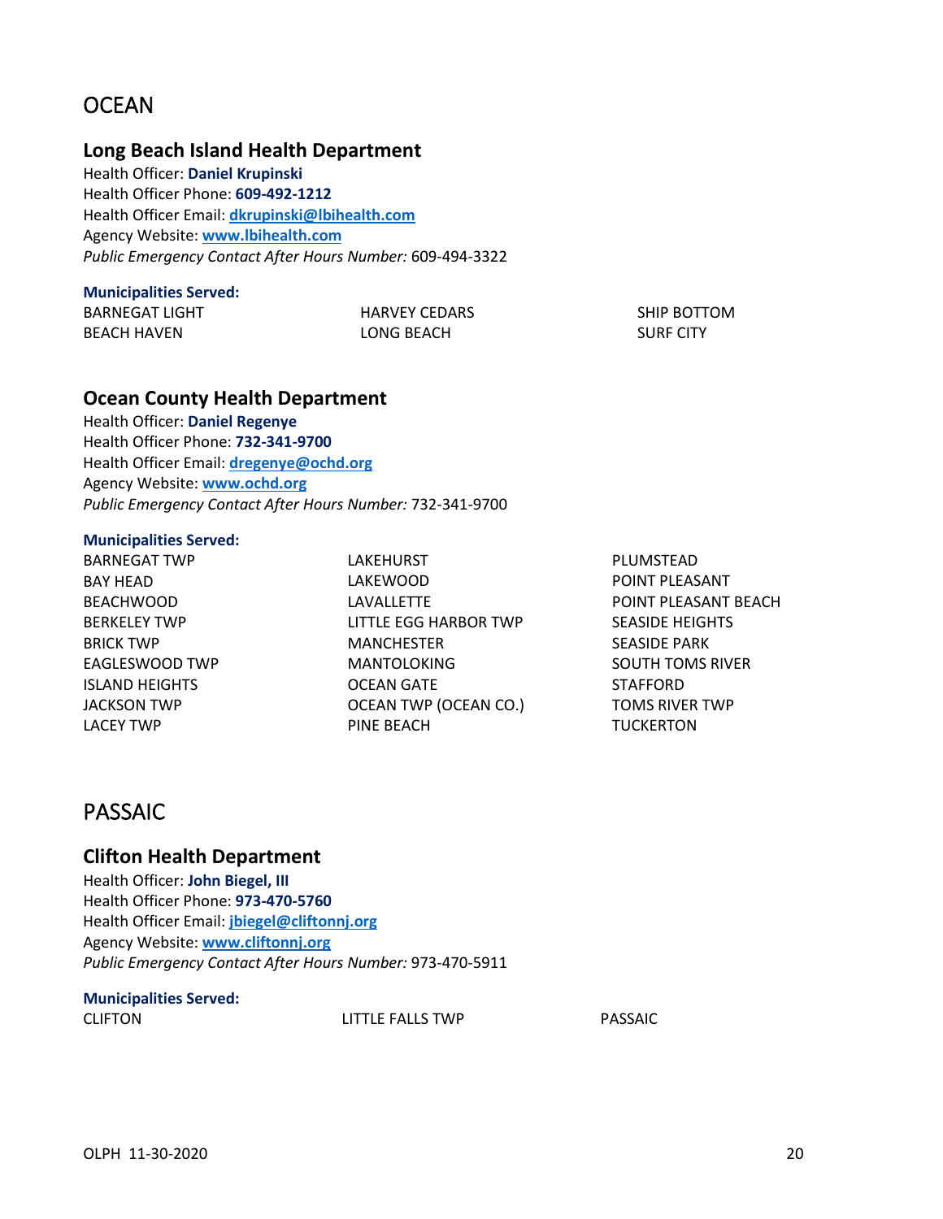# **OCEAN**

### **Long Beach Island Health Department**

Health Officer: **Daniel Krupinski** Health Officer Phone: **609-492-1212** Health Officer Email: **[dkrupinski@lbihealth.com](mailto:dkrupinski@lbihealth.com)** Agency Website: **[www.lbihealth.com](http://www.lbihealth.com/)** *Public Emergency Contact After Hours Number:* 609-494-3322

### **Municipalities Served:**

BARNEGAT LIGHT BEACH HAVEN

HARVEY CEDARS LONG BEACH

SHIP BOTTOM SURF CITY

### **Ocean County Health Department**

Health Officer: **Daniel Regenye** Health Officer Phone: **732-341-9700** Health Officer Email: **[dregenye@ochd.org](mailto:dregenye@ochd.org)** Agency Website: **[www.ochd.org](http://www.ochd.org/)** *Public Emergency Contact After Hours Number:* 732-341-9700

#### **Municipalities Served:**

BARNEGAT TWP BAY HEAD BEACHWOOD BERKELEY TWP BRICK TWP EAGLESWOOD TWP ISLAND HEIGHTS JACKSON TWP LACEY TWP

LAKEHURST LAKEWOOD LAVALLETTE LITTLE EGG HARBOR TWP MANCHESTER MANTOLOKING OCEAN GATE OCEAN TWP (OCEAN CO.) PINE BEACH

PLUMSTEAD POINT PLEASANT POINT PLEASANT BEACH SEASIDE HEIGHTS SEASIDE PARK SOUTH TOMS RIVER STAFFORD TOMS RIVER TWP **TUCKERTON** 

# <span id="page-21-0"></span>PASSAIC

### **Clifton Health Department**

Health Officer: **John Biegel, III** Health Officer Phone: **973-470-5760** Health Officer Email: **[jbiegel@cliftonnj.org](mailto:jbiegel@cliftonnj.org)** Agency Website: **[www.cliftonnj.org](http://www.cliftonnj.org/)** *Public Emergency Contact After Hours Number:* 973-470-5911

## **Municipalities Served:**

CLIFTON LITTLE FALLS TWP PASSAIC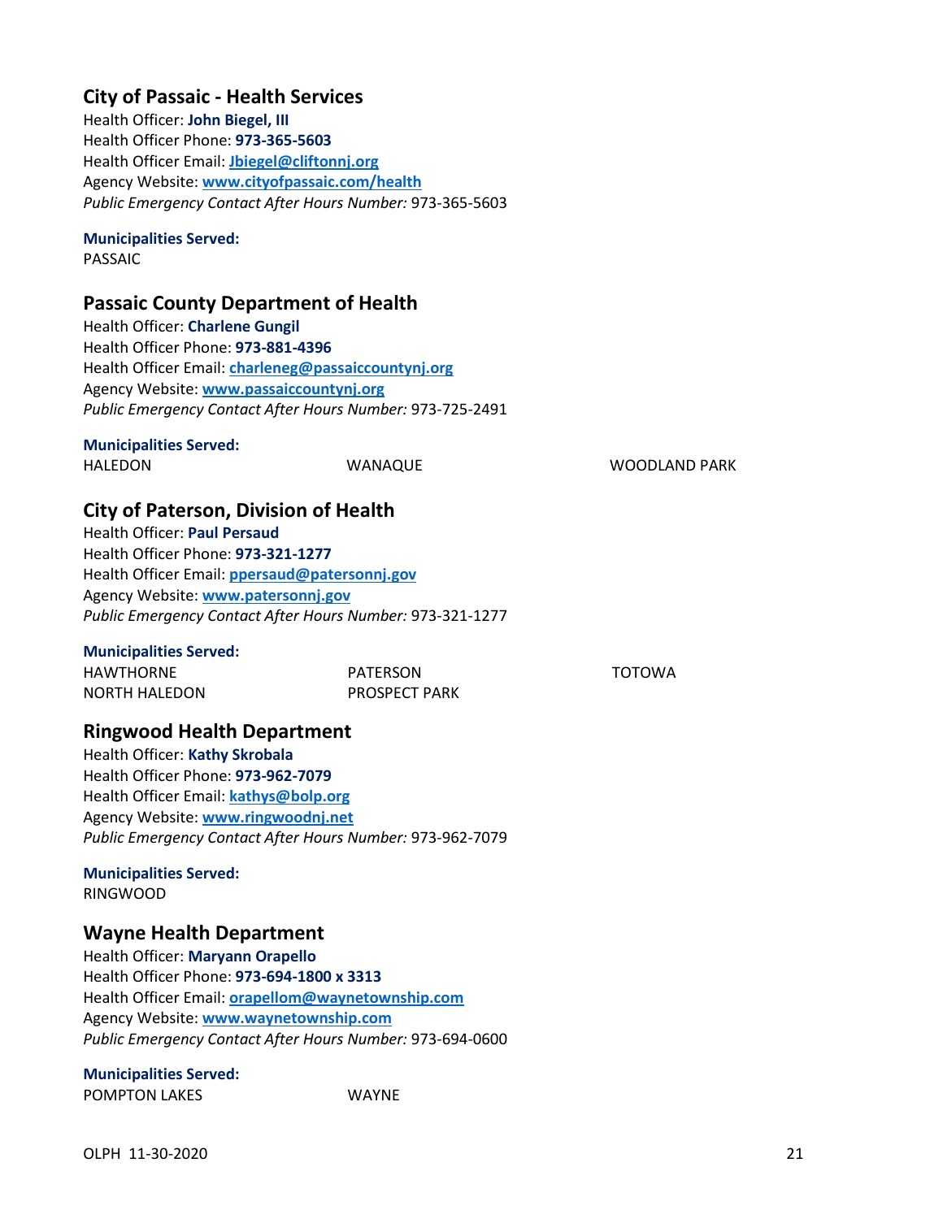## **City of Passaic - Health Services**

Health Officer: **John Biegel, III** Health Officer Phone: **973-365-5603** Health Officer Email: **[Jbiegel@cliftonnj.org](mailto:Jbiegel@cliftonnj.org)** Agency Website: **[www.cityofpassaic.com/health](http://www.cityofpassaic.com/health)** *Public Emergency Contact After Hours Number:* 973-365-5603

### **Municipalities Served:**

PASSAIC

## **Passaic County Department of Health**

Health Officer: **Charlene Gungil** Health Officer Phone: **973-881-4396** Health Officer Email: **[charleneg@passaiccountynj.org](mailto:charleneg@passaiccountynj.org)** Agency Website: **[www.passaiccountynj.org](http://www.passaiccountynj.org/)** *Public Emergency Contact After Hours Number:* 973-725-2491

### **Municipalities Served:**

HALEDON WANAQUE WOODLAND PARK

TOTOWA

## **City of Paterson, Division of Health**

Health Officer: **Paul Persaud** Health Officer Phone: **973-321-1277** Health Officer Email: **[ppersaud@patersonnj.gov](mailto:ppersaud@patersonnj.gov)** Agency Website: **[www.patersonnj.gov](http://www.patersonnj.gov/)** *Public Emergency Contact After Hours Number:* 973-321-1277

### **Municipalities Served:**

| HAWTHORNE     | PATERSON             |
|---------------|----------------------|
| NORTH HALEDON | <b>PROSPECT PARK</b> |

## **Ringwood Health Department**

Health Officer: **Kathy Skrobala** Health Officer Phone: **973-962-7079** Health Officer Email: **[kathys@bolp.org](mailto:kathys@bolp.org)** Agency Website: **[www.ringwoodnj.net](http://www.ringwoodnj.net/)** *Public Emergency Contact After Hours Number:* 973-962-7079

### **Municipalities Served:** RINGWOOD

## **Wayne Health Department**

Health Officer: **Maryann Orapello** Health Officer Phone: **973-694-1800 x 3313** Health Officer Email: **[orapellom@waynetownship.com](mailto:orapellom@waynetownship.com)** Agency Website: **[www.waynetownship.com](http://www.waynetownship.com/)** *Public Emergency Contact After Hours Number:* 973-694-0600

# **Municipalities Served:**

POMPTON LAKES WAYNE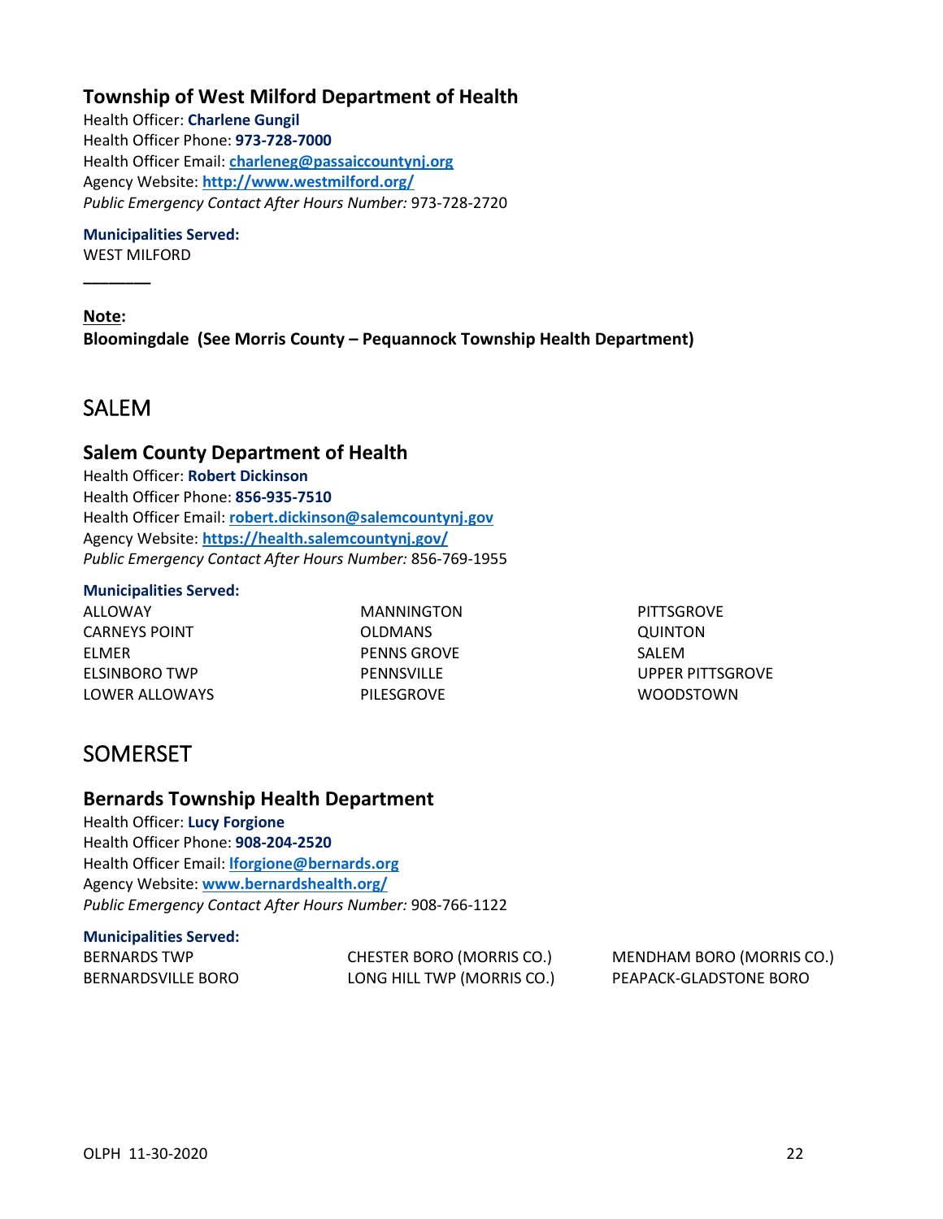## **Township of West Milford Department of Health**

Health Officer: **Charlene Gungil** Health Officer Phone: **973-728-7000** Health Officer Email: **[charleneg@passaiccountynj.org](mailto:charleneg@passaiccountynj.org)** Agency Website: **<http://www.westmilford.org/>** *Public Emergency Contact After Hours Number:* 973-728-2720

### **Municipalities Served:**

WEST MILFORD

**\_\_\_\_\_\_\_\_**

**Note: Bloomingdale (See Morris County – Pequannock Township Health Department)**

## <span id="page-23-0"></span>SALEM

### **Salem County Department of Health**

Health Officer: **Robert Dickinson** Health Officer Phone: **856-935-7510** Health Officer Email: **[robert.dickinson@salemcountynj.gov](mailto:robert.dickinson@salemcountynj.gov)** Agency Website: **<https://health.salemcountynj.gov/>** *Public Emergency Contact After Hours Number:* 856-769-1955

### **Municipalities Served:**

ALLOWAY CARNEYS POINT ELMER ELSINBORO TWP LOWER ALLOWAYS MANNINGTON OLDMANS PENNS GROVE PENNSVILLE PILESGROVE

**PITTSGROVE** QUINTON SALEM UPPER PITTSGROVE WOODSTOWN

# <span id="page-23-1"></span>SOMERSET

### **Bernards Township Health Department**

Health Officer: **Lucy Forgione** Health Officer Phone: **908-204-2520** Health Officer Email: **[lforgione@bernards.org](mailto:lforgione@bernards.org)** Agency Website: **[www.bernardshealth.org/](http://www.bernardshealth.org/)** *Public Emergency Contact After Hours Number:* 908-766-1122

## **Municipalities Served:**

| BERNARDS TWP       | CHESTER BORO (MORRIS CO.)  | MENDHAM BORO (MORRIS CO.) |
|--------------------|----------------------------|---------------------------|
| BERNARDSVILLE BORO | LONG HILL TWP (MORRIS CO.) | PEAPACK-GLADSTONE BORO    |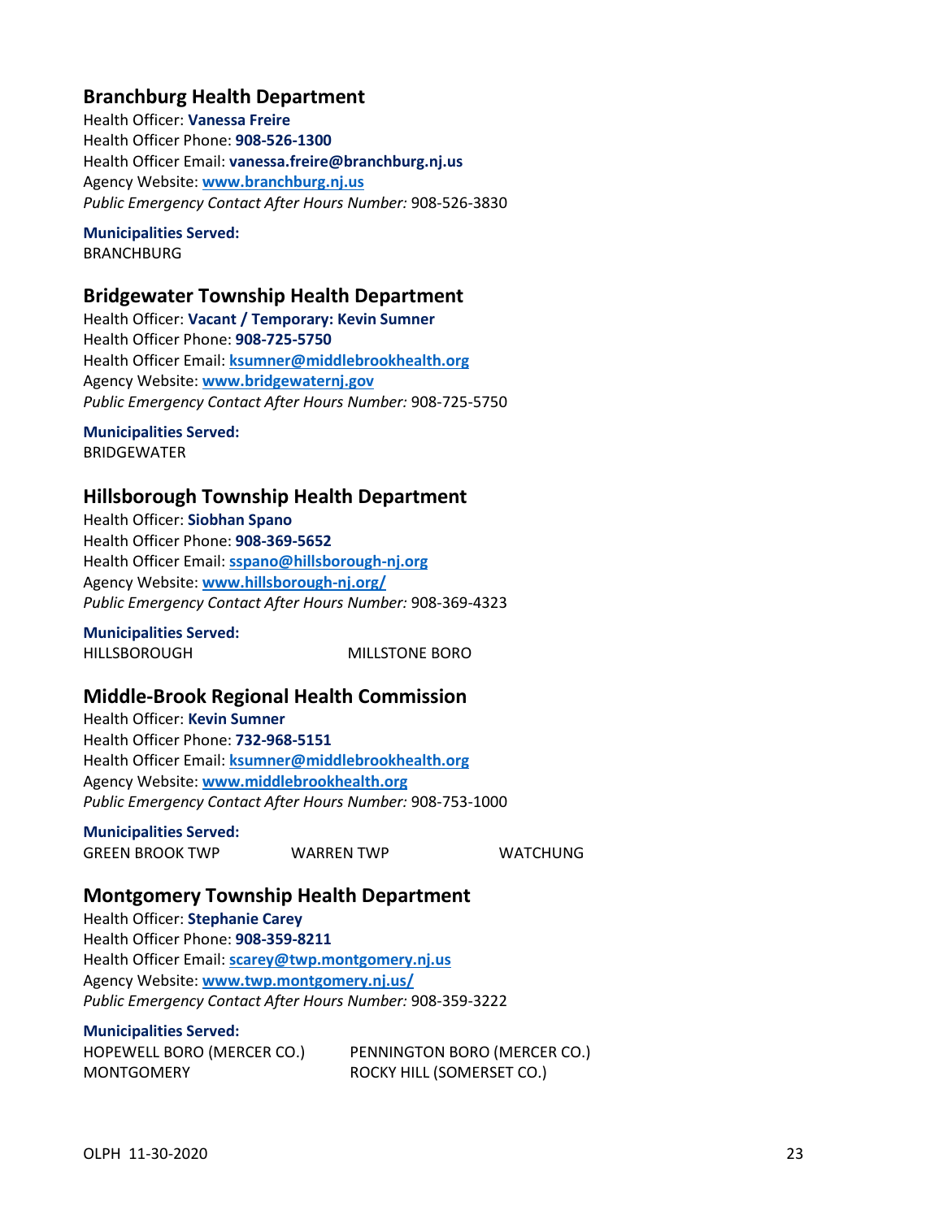## **Branchburg Health Department**

Health Officer: **Vanessa Freire** Health Officer Phone: **908-526-1300** Health Officer Email: **vanessa.freire@branchburg.nj.us** Agency Website: **[www.branchburg.nj.us](http://www.branchburg.nj.us/)** *Public Emergency Contact After Hours Number:* 908-526-3830

**Municipalities Served: BRANCHBURG** 

## **Bridgewater Township Health Department**

Health Officer: **Vacant / Temporary: Kevin Sumner** Health Officer Phone: **908-725-5750** Health Officer Email: **[ksumner@middlebrookhealth.org](mailto:ksumner@middlebrookhealth.org)** Agency Website: **[www.bridgewaternj.gov](http://www.bridgewaternj.gov/)** *Public Emergency Contact After Hours Number:* 908-725-5750

**Municipalities Served:** BRIDGEWATER

## **Hillsborough Township Health Department**

Health Officer: **Siobhan Spano** Health Officer Phone: **908-369-5652** Health Officer Email: **[sspano@hillsborough-nj.org](mailto:sspano@hillsborough-nj.org)** Agency Website: **[www.hillsborough-nj.org/](http://www.hillsborough-nj.org/)** *Public Emergency Contact After Hours Number:* 908-369-4323

**Municipalities Served:** HILLSBOROUGH MILLSTONE BORO

## **Middle-Brook Regional Health Commission**

Health Officer: **Kevin Sumner** Health Officer Phone: **732-968-5151** Health Officer Email: **[ksumner@middlebrookhealth.org](mailto:ksumner@middlebrookhealth.org)** Agency Website: **[www.middlebrookhealth.org](http://www.middlebrookhealth.org/)** *Public Emergency Contact After Hours Number:* 908-753-1000

**Municipalities Served:**

GREEN BROOK TWP WARREN TWP WATCHUNG

## **Montgomery Township Health Department**

Health Officer: **Stephanie Carey** Health Officer Phone: **908-359-8211** Health Officer Email: **[scarey@twp.montgomery.nj.us](mailto:scarey@twp.montgomery.nj.us)** Agency Website: **[www.twp.montgomery.nj.us/](http://www.twp.montgomery.nj.us/)** *Public Emergency Contact After Hours Number:* 908-359-3222

**Municipalities Served:**

HOPEWELL BORO (MERCER CO.) MONTGOMERY

PENNINGTON BORO (MERCER CO.) ROCKY HILL (SOMERSET CO.)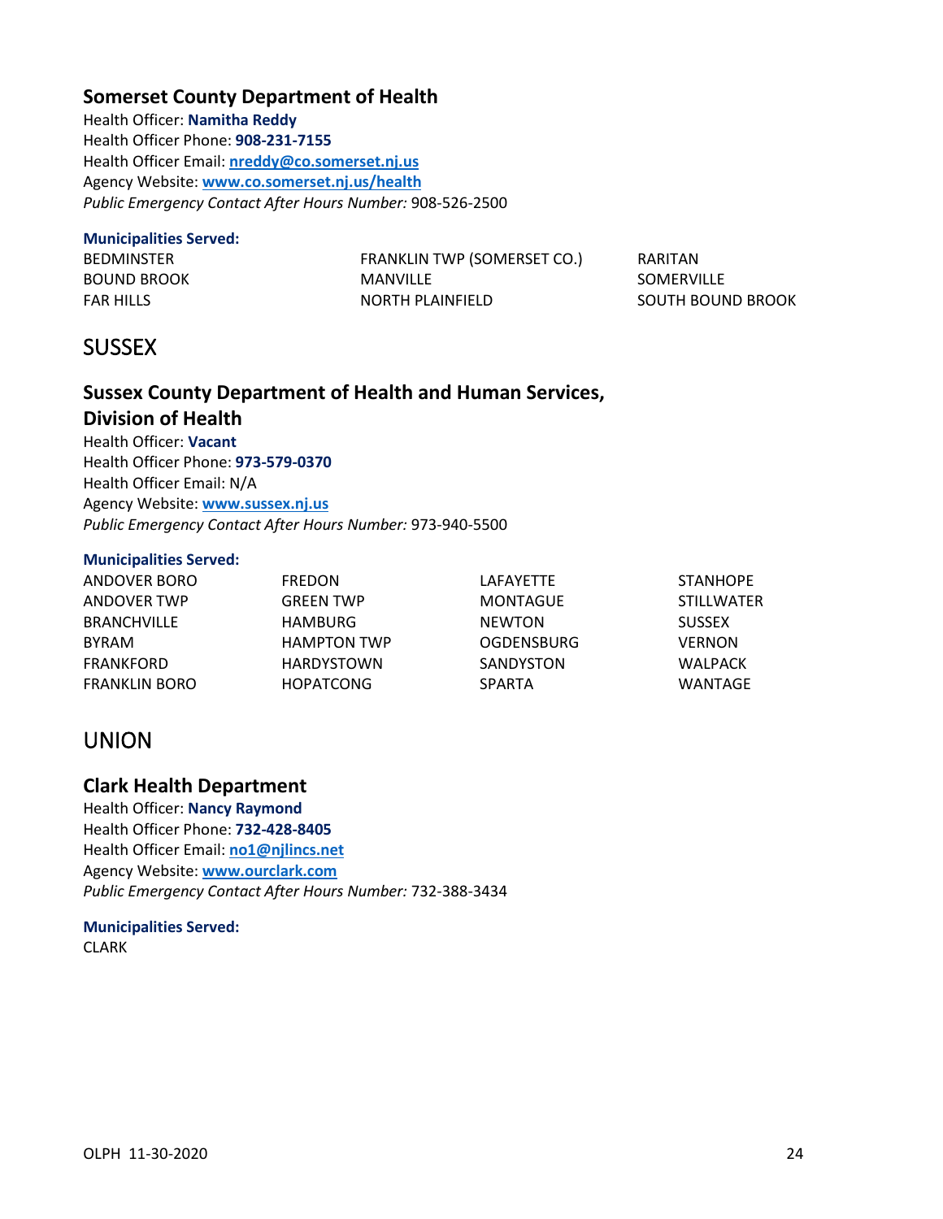## **Somerset County Department of Health**

Health Officer: **Namitha Reddy** Health Officer Phone: **908-231-7155** Health Officer Email: **[nreddy@co.somerset.nj.us](mailto:nreddy@co.somerset.nj.us)** Agency Website: **[www.co.somerset.nj.us/health](http://www.co.somerset.nj.us/health)** *Public Emergency Contact After Hours Number:* 908-526-2500

### **Municipalities Served:**

BEDMINSTER BOUND BROOK FAR HILLS

FRANKLIN TWP (SOMERSET CO.) MANVILLE NORTH PLAINFIELD

RARITAN SOMERVILLE SOUTH BOUND BROOK

# <span id="page-25-0"></span>**SUSSEX**

## **Sussex County Department of Health and Human Services, Division of Health**

Health Officer: **Vacant** Health Officer Phone: **973-579-0370** Health Officer Email: N/A Agency Website: **[www.sussex.nj.us](http://www.sussex.nj.us/)** *Public Emergency Contact After Hours Number:* 973-940-5500

### **Municipalities Served:**

| ANDOVER BORO       | <b>FREDON</b>      | LAFAYETTE         | <b>STANHOPE</b>   |
|--------------------|--------------------|-------------------|-------------------|
| ANDOVER TWP        | <b>GREEN TWP</b>   | MONTAGUE          | <b>STILLWATER</b> |
| <b>BRANCHVILLE</b> | HAMBURG            | <b>NEWTON</b>     | <b>SUSSEX</b>     |
| <b>BYRAM</b>       | <b>HAMPTON TWP</b> | <b>OGDENSBURG</b> | <b>VERNON</b>     |
| FRANKFORD          | <b>HARDYSTOWN</b>  | SANDYSTON         | WALPACK           |
| FRANKLIN BORO      | <b>HOPATCONG</b>   | <b>SPARTA</b>     | WANTAGE           |

# <span id="page-25-1"></span>UNION

## **Clark Health Department**

Health Officer: **Nancy Raymond** Health Officer Phone: **732-428-8405** Health Officer Email: **[no1@njlincs.net](mailto:no1@njlincs.net)** Agency Website: **[www.ourclark.com](http://www.ourclark.com/)** *Public Emergency Contact After Hours Number:* 732-388-3434

### **Municipalities Served:** CLARK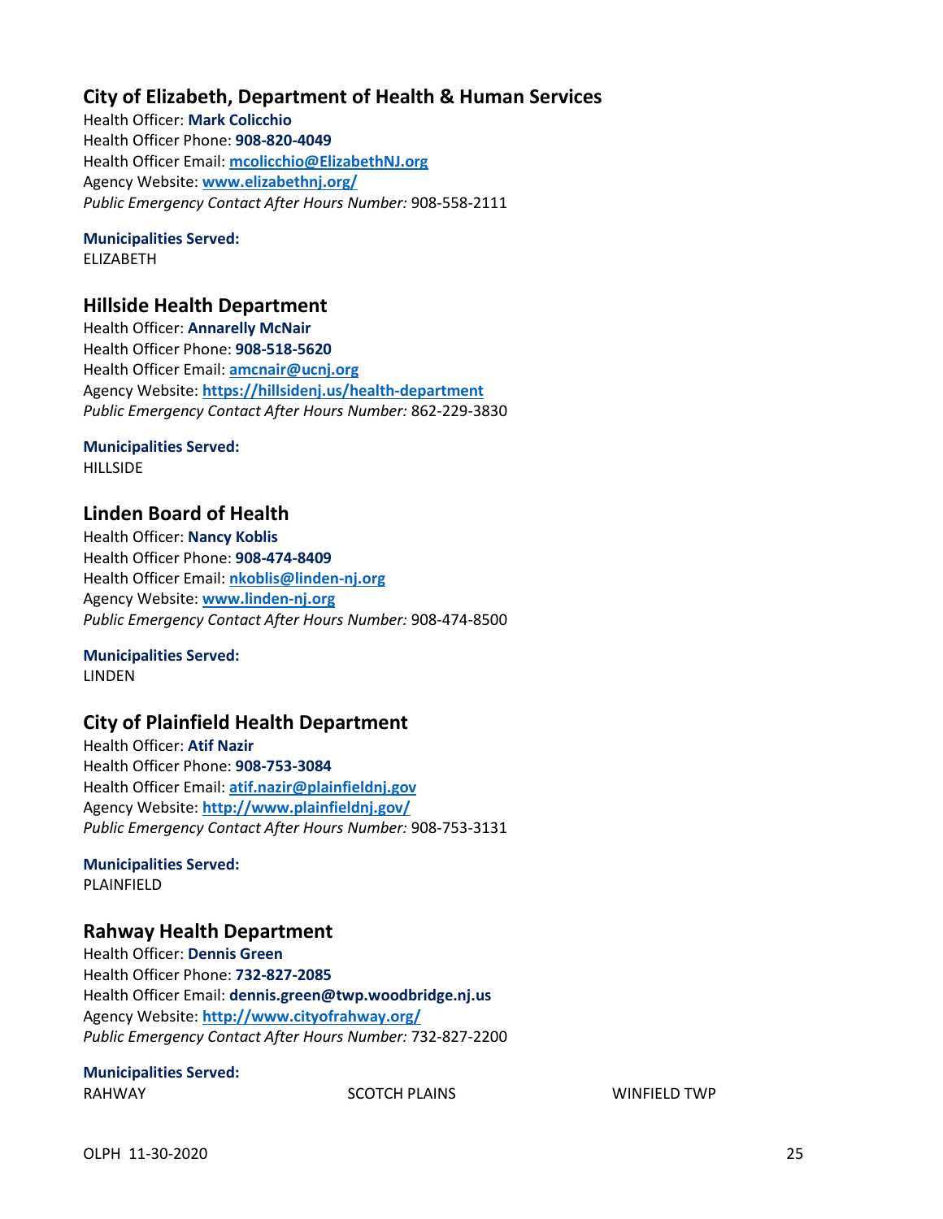## **City of Elizabeth, Department of Health & Human Services**

Health Officer: **Mark Colicchio** Health Officer Phone: **908-820-4049** Health Officer Email: **[mcolicchio@ElizabethNJ.org](mailto:mcolicchio@ElizabethNJ.org)** Agency Website: **[www.elizabethnj.org/](http://www.elizabethnj.org/)** *Public Emergency Contact After Hours Number:* 908-558-2111

# **Municipalities Served:**

ELIZABETH

### **Hillside Health Department**

Health Officer: **Annarelly McNair** Health Officer Phone: **908-518-5620** Health Officer Email: **[amcnair@ucnj.org](mailto:amcnair@ucnj.org)** Agency Website: **<https://hillsidenj.us/health-department>** *Public Emergency Contact After Hours Number:* 862-229-3830

# **Municipalities Served:**

**HILLSIDE** 

## **Linden Board of Health**

Health Officer: **Nancy Koblis** Health Officer Phone: **908-474-8409** Health Officer Email: **[nkoblis@linden-nj.org](mailto:nkoblis@linden-nj.org)** Agency Website: **[www.linden-nj.org](http://www.linden-nj.org/)** *Public Emergency Contact After Hours Number:* 908-474-8500

## **Municipalities Served:**

**LINDEN** 

## **City of Plainfield Health Department**

Health Officer: **Atif Nazir** Health Officer Phone: **908-753-3084** Health Officer Email: **atif.nazir@plainfieldnj.gov** Agency Website: **<http://www.plainfieldnj.gov/>** *Public Emergency Contact After Hours Number:* 908-753-3131

### **Municipalities Served:** PLAINFIELD

## **Rahway Health Department**

Health Officer: **Dennis Green** Health Officer Phone: **732-827-2085** Health Officer Email: **dennis.green@twp.woodbridge.nj.us** Agency Website: **<http://www.cityofrahway.org/>** *Public Emergency Contact After Hours Number:* 732-827-2200

### **Municipalities Served:**

RAHWAY **SCOTCH PLAINS** SCOTCH PLAINS **WINFIELD TWP**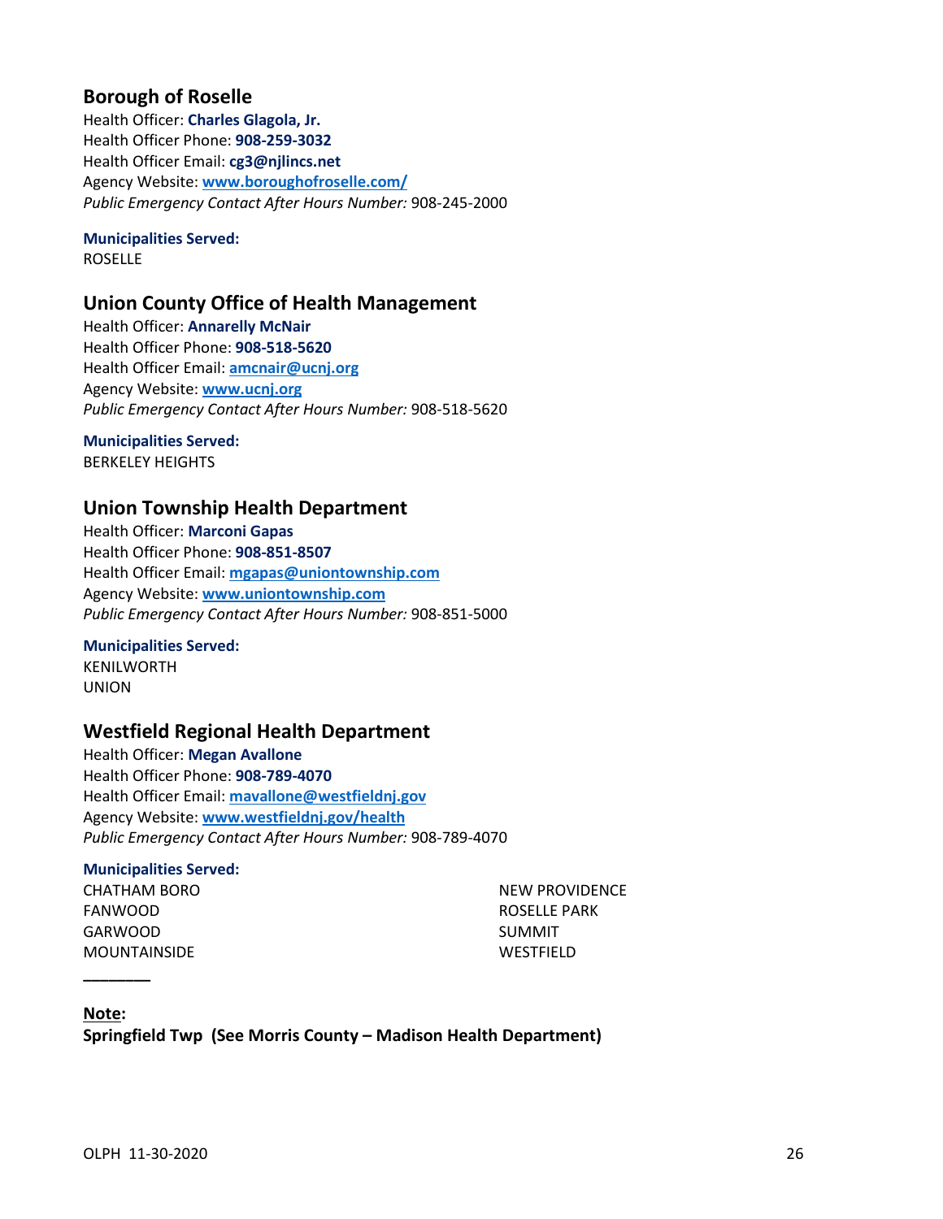## **Borough of Roselle**

Health Officer: **Charles Glagola, Jr.** Health Officer Phone: **908-259-3032** Health Officer Email: **cg3@njlincs.net** Agency Website: **[www.boroughofroselle.com/](http://www.boroughofroselle.com/)** *Public Emergency Contact After Hours Number:* 908-245-2000

# **Municipalities Served:**

ROSELLE

## **Union County Office of Health Management**

Health Officer: **Annarelly McNair** Health Officer Phone: **908-518-5620** Health Officer Email: **[amcnair@ucnj.org](mailto:amcnair@ucnj.org)** Agency Website: **[www.ucnj.org](http://www.ucnj.org/)** *Public Emergency Contact After Hours Number:* 908-518-5620

**Municipalities Served:** BERKELEY HEIGHTS

## **Union Township Health Department**

Health Officer: **Marconi Gapas** Health Officer Phone: **908-851-8507** Health Officer Email: **[mgapas@uniontownship.com](mailto:mgapas@uniontownship.com)** Agency Website: **[www.uniontownship.com](http://www.uniontownship.com/)** *Public Emergency Contact After Hours Number:* 908-851-5000

### **Municipalities Served:**

KENILWORTH UNION

## **Westfield Regional Health Department**

Health Officer: **Megan Avallone** Health Officer Phone: **908-789-4070** Health Officer Email: **[mavallone@westfieldnj.gov](mailto:mavallone@westfieldnj.gov)** Agency Website: **[www.westfieldnj.gov/health](http://www.westfieldnj.gov/health)** *Public Emergency Contact After Hours Number:* 908-789-4070

### **Municipalities Served:**

CHATHAM BORO FANWOOD GARWOOD MOUNTAINSIDE

NEW PROVIDENCE ROSELLE PARK SUMMIT WESTFIELD

### **Note:**

**\_\_\_\_\_\_\_\_**

<span id="page-27-0"></span>**Springfield Twp (See Morris County – Madison Health Department)**